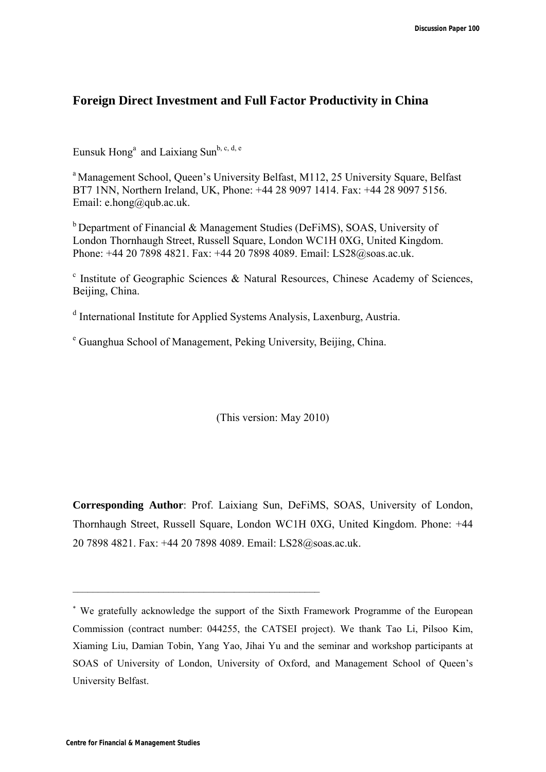## **Foreign Direct Investment and Full Factor Productivity in China**

Eunsuk Hong<sup>a</sup> and Laixiang Sun<sup>b, c, d, e</sup>

<sup>a</sup> Management School, Queen's University Belfast, M112, 25 University Square, Belfast BT7 1NN, Northern Ireland, UK, Phone: +44 28 9097 1414. Fax: +44 28 9097 5156. Email: e.hong@qub.ac.uk.

 $b$  Department of Financial & Management Studies (DeFiMS), SOAS, University of London Thornhaugh Street, Russell Square, London WC1H 0XG, United Kingdom. Phone: +44 20 7898 4821. Fax: +44 20 7898 4089. Email: LS28@soas.ac.uk.

<sup>c</sup> Institute of Geographic Sciences & Natural Resources, Chinese Academy of Sciences, Beijing, China.

<sup>d</sup> International Institute for Applied Systems Analysis, Laxenburg, Austria.

e Guanghua School of Management, Peking University, Beijing, China.

\_\_\_\_\_\_\_\_\_\_\_\_\_\_\_\_\_\_\_\_\_\_\_\_\_\_\_\_\_\_\_\_\_\_\_\_\_\_\_\_\_\_\_\_\_\_\_\_\_

(This version: May 2010)

**Corresponding Author**: Prof. Laixiang Sun, DeFiMS, SOAS, University of London, Thornhaugh Street, Russell Square, London WC1H 0XG, United Kingdom. Phone: +44 20 7898 4821. Fax: +44 20 7898 4089. Email: LS28@soas.ac.uk.

 We gratefully acknowledge the support of the Sixth Framework Programme of the European Commission (contract number: 044255, the CATSEI project). We thank Tao Li, Pilsoo Kim, Xiaming Liu, Damian Tobin, Yang Yao, Jihai Yu and the seminar and workshop participants at SOAS of University of London, University of Oxford, and Management School of Queen's University Belfast.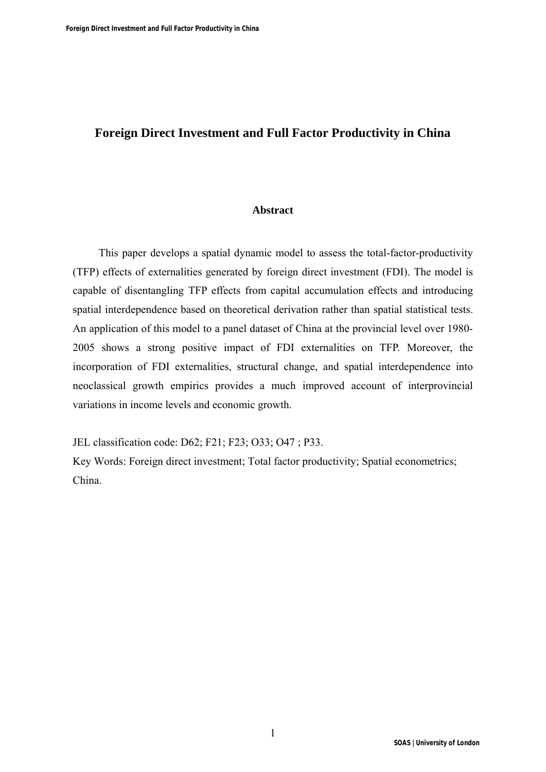# **Foreign Direct Investment and Full Factor Productivity in China**

## **Abstract**

This paper develops a spatial dynamic model to assess the total-factor-productivity (TFP) effects of externalities generated by foreign direct investment (FDI). The model is capable of disentangling TFP effects from capital accumulation effects and introducing spatial interdependence based on theoretical derivation rather than spatial statistical tests. An application of this model to a panel dataset of China at the provincial level over 1980- 2005 shows a strong positive impact of FDI externalities on TFP. Moreover, the incorporation of FDI externalities, structural change, and spatial interdependence into neoclassical growth empirics provides a much improved account of interprovincial variations in income levels and economic growth.

JEL classification code: D62; F21; F23; O33; O47 ; P33.

Key Words: Foreign direct investment; Total factor productivity; Spatial econometrics; China.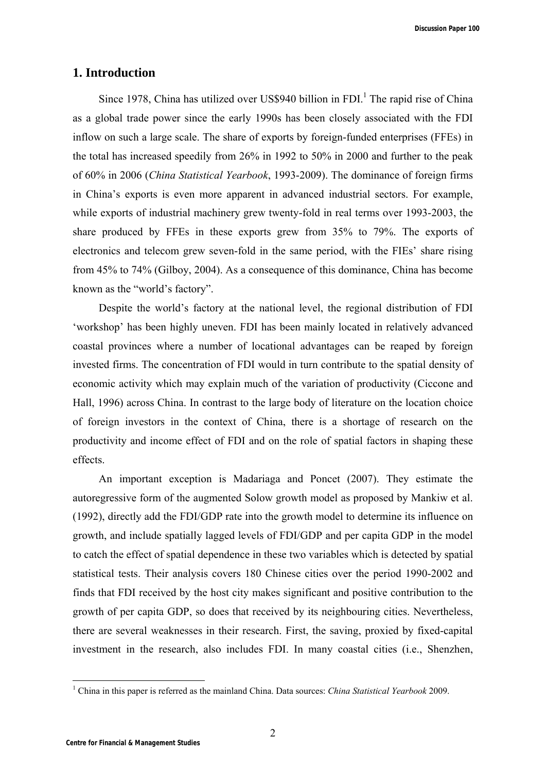## **1. Introduction**

Since 1978, China has utilized over US\$940 billion in  $FDI$ <sup>1</sup>. The rapid rise of China as a global trade power since the early 1990s has been closely associated with the FDI inflow on such a large scale. The share of exports by foreign-funded enterprises (FFEs) in the total has increased speedily from 26% in 1992 to 50% in 2000 and further to the peak of 60% in 2006 (*China Statistical Yearbook*, 1993-2009). The dominance of foreign firms in China's exports is even more apparent in advanced industrial sectors. For example, while exports of industrial machinery grew twenty-fold in real terms over 1993-2003, the share produced by FFEs in these exports grew from 35% to 79%. The exports of electronics and telecom grew seven-fold in the same period, with the FIEs' share rising from 45% to 74% (Gilboy, 2004). As a consequence of this dominance, China has become known as the "world's factory".

Despite the world's factory at the national level, the regional distribution of FDI 'workshop' has been highly uneven. FDI has been mainly located in relatively advanced coastal provinces where a number of locational advantages can be reaped by foreign invested firms. The concentration of FDI would in turn contribute to the spatial density of economic activity which may explain much of the variation of productivity (Ciccone and Hall, 1996) across China. In contrast to the large body of literature on the location choice of foreign investors in the context of China, there is a shortage of research on the productivity and income effect of FDI and on the role of spatial factors in shaping these effects.

An important exception is Madariaga and Poncet (2007). They estimate the autoregressive form of the augmented Solow growth model as proposed by Mankiw et al. (1992), directly add the FDI/GDP rate into the growth model to determine its influence on growth, and include spatially lagged levels of FDI/GDP and per capita GDP in the model to catch the effect of spatial dependence in these two variables which is detected by spatial statistical tests. Their analysis covers 180 Chinese cities over the period 1990-2002 and finds that FDI received by the host city makes significant and positive contribution to the growth of per capita GDP, so does that received by its neighbouring cities. Nevertheless, there are several weaknesses in their research. First, the saving, proxied by fixed-capital investment in the research, also includes FDI. In many coastal cities (i.e., Shenzhen,

 $\overline{a}$ 

<sup>1</sup> China in this paper is referred as the mainland China. Data sources: *China Statistical Yearbook* 2009.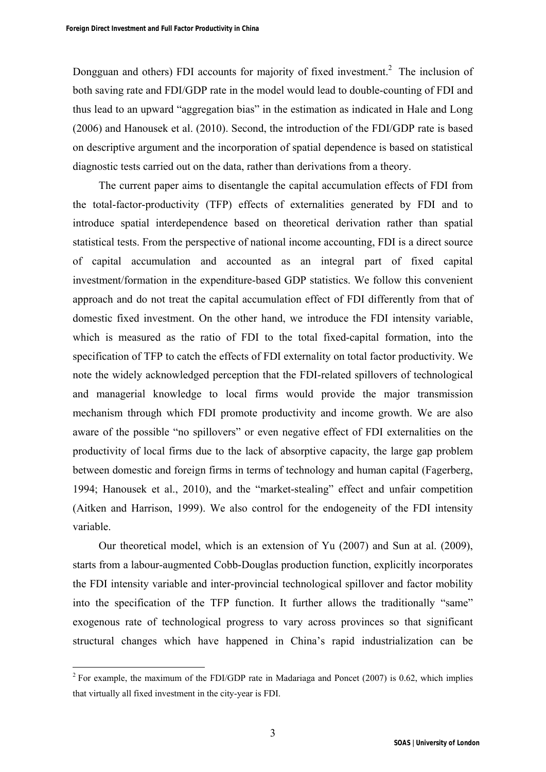Dongguan and others) FDI accounts for majority of fixed investment.<sup>2</sup> The inclusion of both saving rate and FDI/GDP rate in the model would lead to double-counting of FDI and thus lead to an upward "aggregation bias" in the estimation as indicated in Hale and Long (2006) and Hanousek et al. (2010). Second, the introduction of the FDI/GDP rate is based on descriptive argument and the incorporation of spatial dependence is based on statistical diagnostic tests carried out on the data, rather than derivations from a theory.

The current paper aims to disentangle the capital accumulation effects of FDI from the total-factor-productivity (TFP) effects of externalities generated by FDI and to introduce spatial interdependence based on theoretical derivation rather than spatial statistical tests. From the perspective of national income accounting, FDI is a direct source of capital accumulation and accounted as an integral part of fixed capital investment/formation in the expenditure-based GDP statistics. We follow this convenient approach and do not treat the capital accumulation effect of FDI differently from that of domestic fixed investment. On the other hand, we introduce the FDI intensity variable, which is measured as the ratio of FDI to the total fixed-capital formation, into the specification of TFP to catch the effects of FDI externality on total factor productivity. We note the widely acknowledged perception that the FDI-related spillovers of technological and managerial knowledge to local firms would provide the major transmission mechanism through which FDI promote productivity and income growth. We are also aware of the possible "no spillovers" or even negative effect of FDI externalities on the productivity of local firms due to the lack of absorptive capacity, the large gap problem between domestic and foreign firms in terms of technology and human capital (Fagerberg, 1994; Hanousek et al., 2010), and the "market-stealing" effect and unfair competition (Aitken and Harrison, 1999). We also control for the endogeneity of the FDI intensity variable.

Our theoretical model, which is an extension of Yu (2007) and Sun at al. (2009), starts from a labour-augmented Cobb-Douglas production function, explicitly incorporates the FDI intensity variable and inter-provincial technological spillover and factor mobility into the specification of the TFP function. It further allows the traditionally "same" exogenous rate of technological progress to vary across provinces so that significant structural changes which have happened in China's rapid industrialization can be

 $\overline{a}$ 

<sup>&</sup>lt;sup>2</sup> For example, the maximum of the FDI/GDP rate in Madariaga and Poncet (2007) is 0.62, which implies that virtually all fixed investment in the city-year is FDI.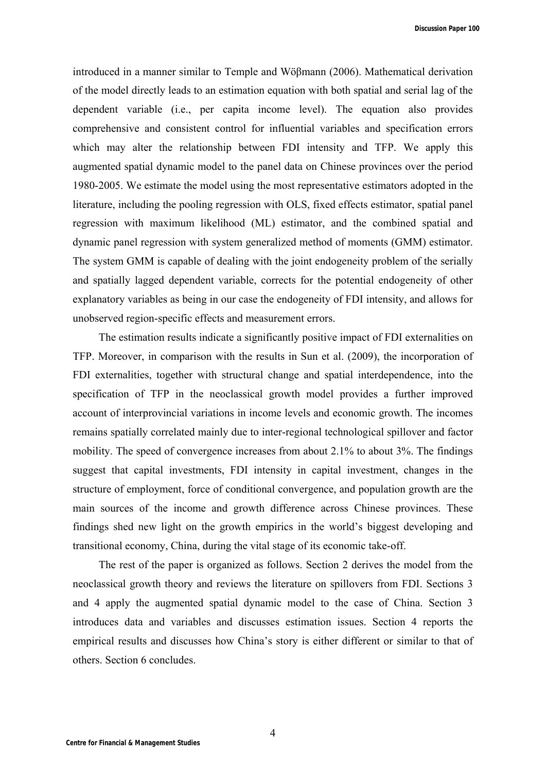**Discussion Paper 100**

introduced in a manner similar to Temple and Wöβmann (2006). Mathematical derivation of the model directly leads to an estimation equation with both spatial and serial lag of the dependent variable (i.e., per capita income level). The equation also provides comprehensive and consistent control for influential variables and specification errors which may alter the relationship between FDI intensity and TFP. We apply this augmented spatial dynamic model to the panel data on Chinese provinces over the period 1980-2005. We estimate the model using the most representative estimators adopted in the literature, including the pooling regression with OLS, fixed effects estimator, spatial panel regression with maximum likelihood (ML) estimator, and the combined spatial and dynamic panel regression with system generalized method of moments (GMM) estimator. The system GMM is capable of dealing with the joint endogeneity problem of the serially and spatially lagged dependent variable, corrects for the potential endogeneity of other explanatory variables as being in our case the endogeneity of FDI intensity, and allows for unobserved region-specific effects and measurement errors.

The estimation results indicate a significantly positive impact of FDI externalities on TFP. Moreover, in comparison with the results in Sun et al. (2009), the incorporation of FDI externalities, together with structural change and spatial interdependence, into the specification of TFP in the neoclassical growth model provides a further improved account of interprovincial variations in income levels and economic growth. The incomes remains spatially correlated mainly due to inter-regional technological spillover and factor mobility. The speed of convergence increases from about 2.1% to about 3%. The findings suggest that capital investments, FDI intensity in capital investment, changes in the structure of employment, force of conditional convergence, and population growth are the main sources of the income and growth difference across Chinese provinces. These findings shed new light on the growth empirics in the world's biggest developing and transitional economy, China, during the vital stage of its economic take-off.

The rest of the paper is organized as follows. Section 2 derives the model from the neoclassical growth theory and reviews the literature on spillovers from FDI. Sections 3 and 4 apply the augmented spatial dynamic model to the case of China. Section 3 introduces data and variables and discusses estimation issues. Section 4 reports the empirical results and discusses how China's story is either different or similar to that of others. Section 6 concludes.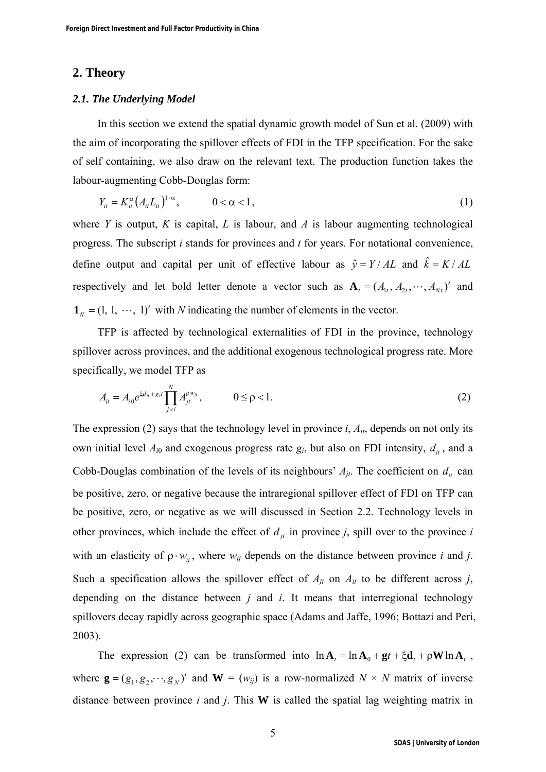## **2. Theory**

#### *2.1. The Underlying Model*

In this section we extend the spatial dynamic growth model of Sun et al. (2009) with the aim of incorporating the spillover effects of FDI in the TFP specification. For the sake of self containing, we also draw on the relevant text. The production function takes the labour-augmenting Cobb-Douglas form:

$$
Y_{it} = K_{it}^{\alpha} (A_{it} L_{it})^{1-\alpha}, \qquad 0 < \alpha < 1,
$$
 (1)

where *Y* is output, *K* is capital, *L* is labour, and *A* is labour augmenting technological progress. The subscript *i* stands for provinces and *t* for years. For notational convenience, define output and capital per unit of effective labour as  $\hat{y} = Y/AL$  and  $\hat{k} = K/AL$ respectively and let bold letter denote a vector such as  $\mathbf{A}_t = (A_{1t}, A_{2t}, \dots, A_{Nt})'$  and  $\mathbf{1}_N = (1, 1, \dots, 1)'$  with *N* indicating the number of elements in the vector.

TFP is affected by technological externalities of FDI in the province, technology spillover across provinces, and the additional exogenous technological progress rate. More specifically, we model TFP as

$$
A_{it} = A_{i0} e^{\xi d_{it} + g_{it}} \prod_{j \neq i}^{N} A_{jt}^{\rho w_{ij}}, \qquad 0 \leq \rho < 1.
$$
 (2)

The expression (2) says that the technology level in province *i*, *Ait*, depends on not only its own initial level  $A_{i0}$  and exogenous progress rate  $g_i$ , but also on FDI intensity,  $d_{it}$ , and a Cobb-Douglas combination of the levels of its neighbours'  $A_{jt}$ . The coefficient on  $d_i$  can be positive, zero, or negative because the intraregional spillover effect of FDI on TFP can be positive, zero, or negative as we will discussed in Section 2.2. Technology levels in other provinces, which include the effect of  $d_{it}$  in province *j*, spill over to the province *i* with an elasticity of  $\rho \cdot w_{ij}$ , where  $w_{ij}$  depends on the distance between province *i* and *j*. Such a specification allows the spillover effect of  $A_{jt}$  on  $A_{it}$  to be different across *j*, depending on the distance between *j* and *i*. It means that interregional technology spillovers decay rapidly across geographic space (Adams and Jaffe, 1996; Bottazi and Peri, 2003).

The expression (2) can be transformed into  $\ln A_t = \ln A_0 + gt + \xi d_t + \rho W \ln A_t$ , where  $\mathbf{g} = (g_1, g_2, \dots, g_N)$  and  $\mathbf{W} = (w_{ij})$  is a row-normalized  $N \times N$  matrix of inverse distance between province *i* and *j*. This **W** is called the spatial lag weighting matrix in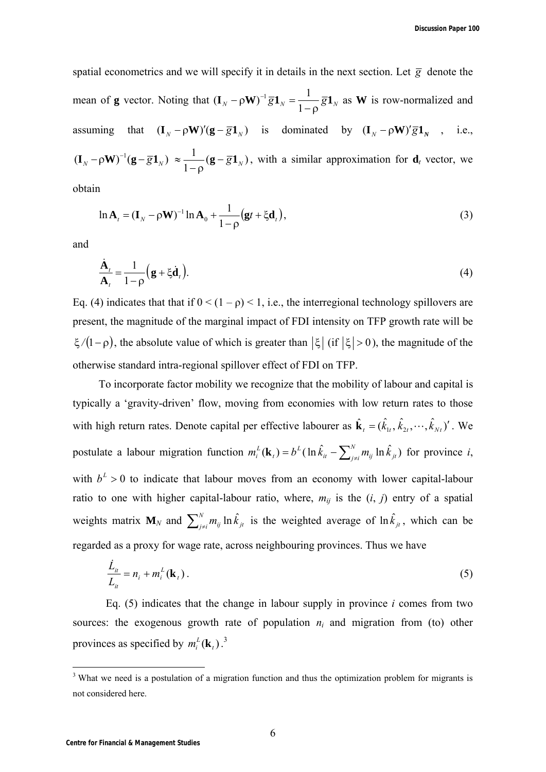spatial econometrics and we will specify it in details in the next section. Let  $\bar{g}$  denote the mean of **g** vector. Noting that  $(\mathbf{I}_N - \rho \mathbf{W})^{-1} \overline{g} \mathbf{1}_N = \frac{1}{1-\rho} \overline{g} \mathbf{1}_N$  $-\rho \mathbf{W})^{-1} \overline{g} \mathbf{1}_N =$ 1  $(\mathbf{I}_{N} - \rho \mathbf{W})^{-1} \overline{\mathbf{g}} \mathbf{1}_{N} = \frac{1}{\epsilon_{N}} \overline{\mathbf{g}} \mathbf{1}_{N}$  as **W** is row-normalized and assuming that  $(\mathbf{I}_N - \rho \mathbf{W})'(\mathbf{g} - \overline{\mathbf{g}} \mathbf{1}_N)$  is dominated by  $(\mathbf{I}_N - \rho \mathbf{W})' \overline{\mathbf{g}} \mathbf{1}_N$ , i.e.,  $(\mathbf{I}_N - \rho \mathbf{W})^{-1} (\mathbf{g} - \overline{\mathbf{g}} \mathbf{1}_N) \approx \frac{1}{1-\rho} (\mathbf{g} - \overline{\mathbf{g}} \mathbf{1}_N)$ , with a similar approximation for  $\mathbf{d}_t$  vector, we

obtain

$$
\ln \mathbf{A}_t = (\mathbf{I}_N - \rho \mathbf{W})^{-1} \ln \mathbf{A}_0 + \frac{1}{1 - \rho} (\mathbf{g}t + \xi \mathbf{d}_t),
$$
\n(3)

and

$$
\frac{\dot{\mathbf{A}}_t}{\mathbf{A}_t} = \frac{1}{1-\rho} \Big( \mathbf{g} + \xi \dot{\mathbf{d}}_t \Big). \tag{4}
$$

Eq. (4) indicates that that if  $0 < (1 - \rho) < 1$ , i.e., the interregional technology spillovers are present, the magnitude of the marginal impact of FDI intensity on TFP growth rate will be  $\zeta/(1-\rho)$ , the absolute value of which is greater than  $|\zeta|$  (if  $|\zeta| > 0$ ), the magnitude of the otherwise standard intra-regional spillover effect of FDI on TFP.

To incorporate factor mobility we recognize that the mobility of labour and capital is typically a 'gravity-driven' flow, moving from economies with low return rates to those with high return rates. Denote capital per effective labourer as  $\hat{\mathbf{k}}_i = (\hat{k}_{1i}, \hat{k}_{2i}, \dots, \hat{k}_{Nt})'$ . We postulate a labour migration function  $m_i^L(\mathbf{k}_i) = b^L(\ln \hat{k}_{ii} - \sum_{j\neq i}^N m_{ij} \ln \hat{k}_{ji})$ *L t*  $m_i^L(\mathbf{k}_t) = b^L(\ln \hat{k}_{it} - \sum_{i \neq j}^{N} m_{ij} \ln \hat{k}_{jt})$  for province *i*, with  $b^2 > 0$  to indicate that labour moves from an economy with lower capital-labour ratio to one with higher capital-labour ratio, where,  $m_{ij}$  is the  $(i, j)$  entry of a spatial weights matrix  $M_N$  and  $\sum_{j\neq i}^{N} m_{ij} \ln \hat{k}_{jt}$  is the weighted average of  $\ln \hat{k}_{jt}$ , which can be regarded as a proxy for wage rate, across neighbouring provinces. Thus we have

$$
\frac{\dot{L}_{it}}{L_{it}} = n_i + m_i^L(\mathbf{k}_t).
$$
\n(5)

 Eq. (5) indicates that the change in labour supply in province *i* comes from two sources: the exogenous growth rate of population  $n_i$  and migration from (to) other provinces as specified by  $m_i^L(\mathbf{k}_t)$ .<sup>3</sup>

<sup>&</sup>lt;sup>3</sup> What we need is a postulation of a migration function and thus the optimization problem for migrants is not considered here.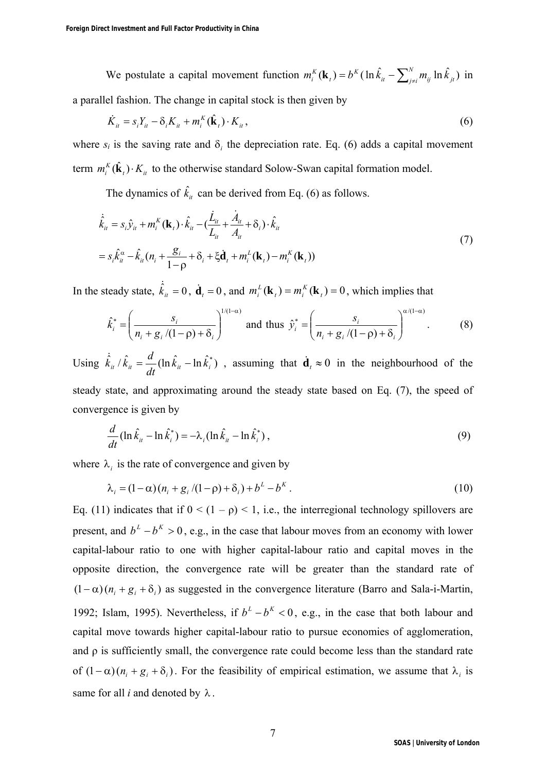We postulate a capital movement function  $m_i^K(\mathbf{k}_i) = b^K (\ln \hat{k}_{ii} - \sum_{j \neq i}^N m_{ij} \ln \hat{k}_{ji})$ *K t*  $m_i^{K}(\mathbf{k}_t) = b^{K}(\ln \hat{k}_{it} - \sum_{i \neq i}^{N} m_{ij} \ln \hat{k}_{jt})$  in a parallel fashion. The change in capital stock is then given by

$$
\dot{K}_{it} = s_i Y_{it} - \delta_i K_{it} + m_i^K(\hat{\mathbf{k}}_t) \cdot K_{it},
$$
\n(6)

where  $s_i$  is the saving rate and  $\delta_i$ , the depreciation rate. Eq. (6) adds a capital movement term  $m_i^K(\hat{\mathbf{k}}_i) \cdot K_i$  to the otherwise standard Solow-Swan capital formation model.

The dynamics of  $\hat{k}_i$  can be derived from Eq. (6) as follows.

$$
\dot{\hat{k}}_{it} = s_i \hat{y}_{it} + m_i^{K}(\mathbf{k}_t) \cdot \hat{k}_{it} - (\frac{\dot{L}_{it}}{L_{it}} + \frac{\dot{A}_{it}}{A_{it}} + \delta_i) \cdot \hat{k}_{it}
$$
\n
$$
= s_i \hat{k}_{it}^{\alpha} - \hat{k}_{it} (n_i + \frac{g_i}{1 - \rho} + \delta_i + \xi \dot{\mathbf{d}}_t + m_i^{L}(\mathbf{k}_t) - m_i^{K}(\mathbf{k}_t))
$$
\n(7)

In the steady state,  $\dot{\hat{k}}_i = 0$ ,  $\dot{\mathbf{d}}_i = 0$ , and  $m_i^L(\mathbf{k}_i) = m_i^K(\mathbf{k}_i) = 0$  $\mu$ *j* –  $m_i$  $m_i^L(\mathbf{k}_t) = m_i^K(\mathbf{k}_t) = 0$ , which implies that

$$
\hat{k}_{i}^{*} = \left(\frac{s_{i}}{n_{i} + g_{i}/(1-\rho) + \delta_{i}}\right)^{1/(1-\alpha)} \text{ and thus } \hat{y}_{i}^{*} = \left(\frac{s_{i}}{n_{i} + g_{i}/(1-\rho) + \delta_{i}}\right)^{\alpha/(1-\alpha)}.
$$
 (8)

Using  $\dot{\hat{k}}_u \hat{k}_u = \frac{d}{dt} (\ln \hat{k}_u - \ln \hat{k}_i^*)$ , assuming that  $\dot{\mathbf{d}}_t \approx 0$  in the neighbourhood of the steady state, and approximating around the steady state based on Eq. (7), the speed of convergence is given by

$$
\frac{d}{dt}(\ln \hat{k}_{ii} - \ln \hat{k}_i^*) = -\lambda_i(\ln \hat{k}_{ii} - \ln \hat{k}_i^*)\,,\tag{9}
$$

where  $\lambda_i$  is the rate of convergence and given by

$$
\lambda_i = (1 - \alpha)(n_i + g_i/(1 - \rho) + \delta_i) + b^L - b^K.
$$
\n(10)

Eq. (11) indicates that if  $0 < (1 - \rho) < 1$ , i.e., the interregional technology spillovers are present, and  $b^L - b^K > 0$ , e.g., in the case that labour moves from an economy with lower capital-labour ratio to one with higher capital-labour ratio and capital moves in the opposite direction, the convergence rate will be greater than the standard rate of  $(1-\alpha)(n_i + g_i + \delta_i)$  as suggested in the convergence literature (Barro and Sala-i-Martin, 1992; Islam, 1995). Nevertheless, if  $b^L - b^K < 0$ , e.g., in the case that both labour and capital move towards higher capital-labour ratio to pursue economies of agglomeration, and  $\rho$  is sufficiently small, the convergence rate could become less than the standard rate of  $(1-\alpha)(n_i + g_i + \delta_i)$ . For the feasibility of empirical estimation, we assume that  $\lambda_i$  is same for all  $i$  and denoted by  $\lambda$ .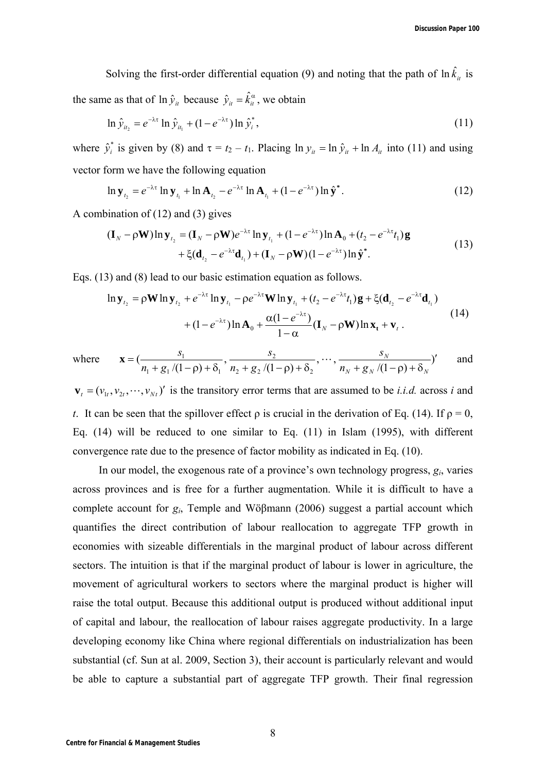Solving the first-order differential equation (9) and noting that the path of  $\ln \hat{k}_{it}$  is the same as that of  $\ln \hat{y}_i$  because  $\hat{y}_i = \hat{k}_i^\alpha$ , we obtain

$$
\ln \hat{y}_{u_2} = e^{-\lambda \tau} \ln \hat{y}_{u_1} + (1 - e^{-\lambda \tau}) \ln \hat{y}_i^*,
$$
\n(11)

where  $\hat{y}_i^*$  is given by (8) and  $\tau = t_2 - t_1$ . Placing  $\ln y_u = \ln \hat{y}_u + \ln A_u$  into (11) and using vector form we have the following equation

$$
\ln \mathbf{y}_{t_2} = e^{-\lambda \tau} \ln \mathbf{y}_{t_1} + \ln \mathbf{A}_{t_2} - e^{-\lambda \tau} \ln \mathbf{A}_{t_1} + (1 - e^{-\lambda \tau}) \ln \hat{\mathbf{y}}^*.
$$
 (12)

A combination of (12) and (3) gives

$$
(\mathbf{I}_N - \rho \mathbf{W}) \ln \mathbf{y}_{t_2} = (\mathbf{I}_N - \rho \mathbf{W}) e^{-\lambda \tau} \ln \mathbf{y}_{t_1} + (1 - e^{-\lambda \tau}) \ln \mathbf{A}_0 + (t_2 - e^{-\lambda \tau} t_1) \mathbf{g}
$$
  
+  $\xi (\mathbf{d}_{t_2} - e^{-\lambda \tau} \mathbf{d}_{t_1}) + (\mathbf{I}_N - \rho \mathbf{W}) (1 - e^{-\lambda \tau}) \ln \hat{\mathbf{y}}^*$ . (13)

Eqs. (13) and (8) lead to our basic estimation equation as follows.

$$
\ln \mathbf{y}_{t_2} = \rho \mathbf{W} \ln \mathbf{y}_{t_2} + e^{-\lambda \tau} \ln \mathbf{y}_{t_1} - \rho e^{-\lambda \tau} \mathbf{W} \ln \mathbf{y}_{t_1} + (t_2 - e^{-\lambda \tau} t_1) \mathbf{g} + \xi (\mathbf{d}_{t_2} - e^{-\lambda \tau} \mathbf{d}_{t_1})
$$
  
+ 
$$
(1 - e^{-\lambda \tau}) \ln \mathbf{A}_0 + \frac{\alpha (1 - e^{-\lambda \tau})}{1 - \alpha} (\mathbf{I}_N - \rho \mathbf{W}) \ln \mathbf{x}_t + \mathbf{v}_t.
$$
 (14)

where 
$$
\mathbf{x} = \left(\frac{s_1}{n_1 + g_1/(1-\rho) + \delta_1}, \frac{s_2}{n_2 + g_2/(1-\rho) + \delta_2}, \cdots, \frac{s_N}{n_N + g_N/(1-\rho) + \delta_N}\right)'
$$
 and

 $\mathbf{v}_t = (v_{1t}, v_{2t}, \dots, v_{Nt})'$  is the transitory error terms that are assumed to be *i.i.d.* across *i* and *t*. It can be seen that the spillover effect  $\rho$  is crucial in the derivation of Eq. (14). If  $\rho = 0$ , Eq. (14) will be reduced to one similar to Eq. (11) in Islam (1995), with different convergence rate due to the presence of factor mobility as indicated in Eq. (10).

In our model, the exogenous rate of a province's own technology progress, *gi*, varies across provinces and is free for a further augmentation. While it is difficult to have a complete account for *gi*, Temple and Wöβmann (2006) suggest a partial account which quantifies the direct contribution of labour reallocation to aggregate TFP growth in economies with sizeable differentials in the marginal product of labour across different sectors. The intuition is that if the marginal product of labour is lower in agriculture, the movement of agricultural workers to sectors where the marginal product is higher will raise the total output. Because this additional output is produced without additional input of capital and labour, the reallocation of labour raises aggregate productivity. In a large developing economy like China where regional differentials on industrialization has been substantial (cf. Sun at al. 2009, Section 3), their account is particularly relevant and would be able to capture a substantial part of aggregate TFP growth. Their final regression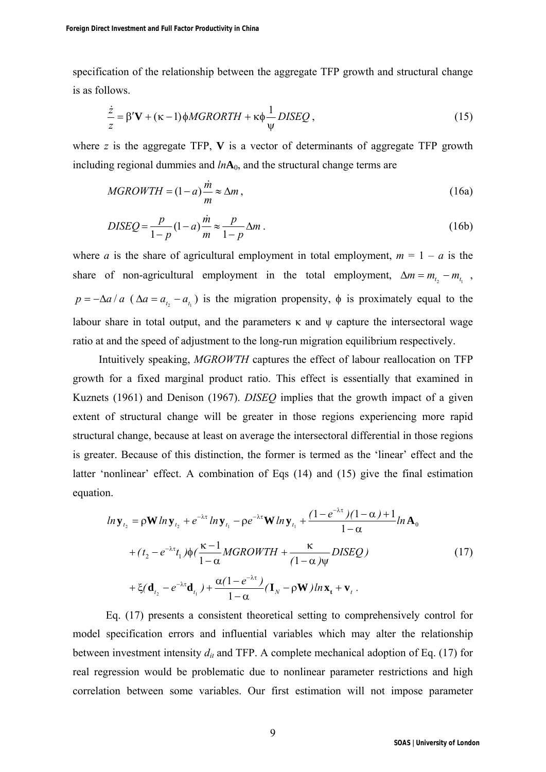specification of the relationship between the aggregate TFP growth and structural change is as follows.

$$
\frac{\dot{z}}{z} = \beta' \mathbf{V} + (\kappa - 1)\phi M G R OR TH + \kappa \phi \frac{1}{\psi} DISEQ ,\qquad(15)
$$

where *z* is the aggregate TFP, **V** is a vector of determinants of aggregate TFP growth including regional dummies and *ln***A**0, and the structural change terms are

$$
MGROWTH = (1 - a)\frac{\dot{m}}{m} \approx \Delta m\,,\tag{16a}
$$

$$
DISEQ = \frac{p}{1-p} (1-a) \frac{\dot{m}}{m} \approx \frac{p}{1-p} \Delta m \,. \tag{16b}
$$

where *a* is the share of agricultural employment in total employment,  $m = 1 - a$  is the share of non-agricultural employment in the total employment,  $\Delta m = m_t - m_t$ ,  $p = -\Delta a/a$  ( $\Delta a = a_{t_2} - a_{t_1}$ ) is the migration propensity,  $\phi$  is proximately equal to the labour share in total output, and the parameters  $\kappa$  and  $\psi$  capture the intersectoral wage ratio at and the speed of adjustment to the long-run migration equilibrium respectively.

Intuitively speaking, *MGROWTH* captures the effect of labour reallocation on TFP growth for a fixed marginal product ratio. This effect is essentially that examined in Kuznets (1961) and Denison (1967). *DISEQ* implies that the growth impact of a given extent of structural change will be greater in those regions experiencing more rapid structural change, because at least on average the intersectoral differential in those regions is greater. Because of this distinction, the former is termed as the 'linear' effect and the latter 'nonlinear' effect. A combination of Eqs (14) and (15) give the final estimation equation.

$$
ln \mathbf{y}_{t_2} = \rho \mathbf{W} ln \mathbf{y}_{t_2} + e^{-\lambda \tau} ln \mathbf{y}_{t_1} - \rho e^{-\lambda \tau} \mathbf{W} ln \mathbf{y}_{t_1} + \frac{(1 - e^{-\lambda \tau})(1 - \alpha) + 1}{1 - \alpha} ln \mathbf{A}_0
$$
  
+  $(t_2 - e^{-\lambda \tau} t_1) \phi \left( \frac{\kappa - 1}{1 - \alpha} MGROWTH + \frac{\kappa}{(1 - \alpha)\psi} DISEQ \right)$  (17)  
+  $\xi (\mathbf{d}_{t_2} - e^{-\lambda \tau} \mathbf{d}_{t_1}) + \frac{\alpha (1 - e^{-\lambda \tau})}{1 - \alpha} (\mathbf{I}_N - \rho \mathbf{W}) ln \mathbf{x}_t + \mathbf{v}_t.$ 

 Eq. (17) presents a consistent theoretical setting to comprehensively control for model specification errors and influential variables which may alter the relationship between investment intensity  $d_{it}$  and TFP. A complete mechanical adoption of Eq. (17) for real regression would be problematic due to nonlinear parameter restrictions and high correlation between some variables. Our first estimation will not impose parameter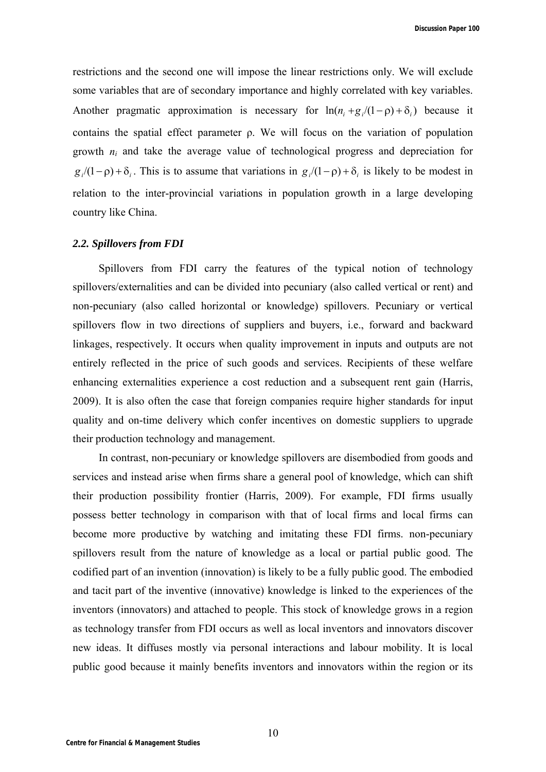restrictions and the second one will impose the linear restrictions only. We will exclude some variables that are of secondary importance and highly correlated with key variables. Another pragmatic approximation is necessary for  $\ln(n_i + g_i/(1 - \rho) + \delta_i)$  because it contains the spatial effect parameter ρ. We will focus on the variation of population growth *ni* and take the average value of technological progress and depreciation for  $g_i/(1-\rho) + \delta_i$ . This is to assume that variations in  $g_i/(1-\rho) + \delta_i$  is likely to be modest in relation to the inter-provincial variations in population growth in a large developing country like China.

#### *2.2. Spillovers from FDI*

Spillovers from FDI carry the features of the typical notion of technology spillovers/externalities and can be divided into pecuniary (also called vertical or rent) and non-pecuniary (also called horizontal or knowledge) spillovers. Pecuniary or vertical spillovers flow in two directions of suppliers and buyers, i.e., forward and backward linkages, respectively. It occurs when quality improvement in inputs and outputs are not entirely reflected in the price of such goods and services. Recipients of these welfare enhancing externalities experience a cost reduction and a subsequent rent gain (Harris, 2009). It is also often the case that foreign companies require higher standards for input quality and on-time delivery which confer incentives on domestic suppliers to upgrade their production technology and management.

In contrast, non-pecuniary or knowledge spillovers are disembodied from goods and services and instead arise when firms share a general pool of knowledge, which can shift their production possibility frontier (Harris, 2009). For example, FDI firms usually possess better technology in comparison with that of local firms and local firms can become more productive by watching and imitating these FDI firms. non-pecuniary spillovers result from the nature of knowledge as a local or partial public good. The codified part of an invention (innovation) is likely to be a fully public good. The embodied and tacit part of the inventive (innovative) knowledge is linked to the experiences of the inventors (innovators) and attached to people. This stock of knowledge grows in a region as technology transfer from FDI occurs as well as local inventors and innovators discover new ideas. It diffuses mostly via personal interactions and labour mobility. It is local public good because it mainly benefits inventors and innovators within the region or its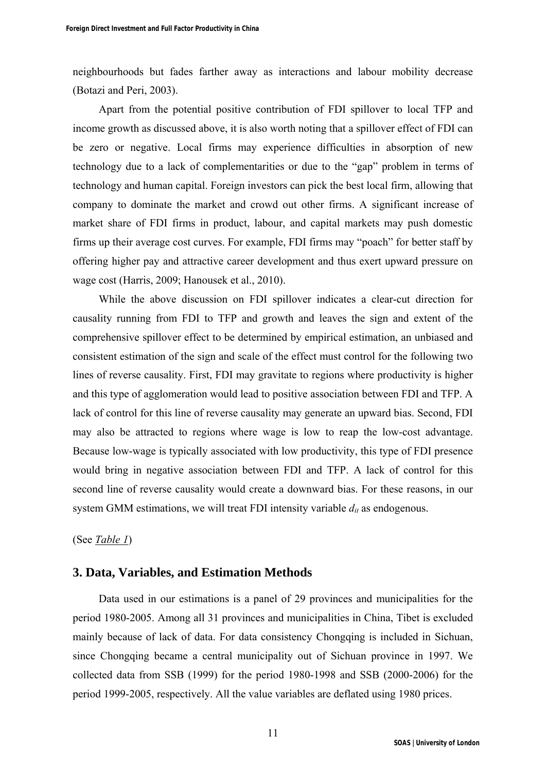neighbourhoods but fades farther away as interactions and labour mobility decrease (Botazi and Peri, 2003).

Apart from the potential positive contribution of FDI spillover to local TFP and income growth as discussed above, it is also worth noting that a spillover effect of FDI can be zero or negative. Local firms may experience difficulties in absorption of new technology due to a lack of complementarities or due to the "gap" problem in terms of technology and human capital. Foreign investors can pick the best local firm, allowing that company to dominate the market and crowd out other firms. A significant increase of market share of FDI firms in product, labour, and capital markets may push domestic firms up their average cost curves. For example, FDI firms may "poach" for better staff by offering higher pay and attractive career development and thus exert upward pressure on wage cost (Harris, 2009; Hanousek et al., 2010).

While the above discussion on FDI spillover indicates a clear-cut direction for causality running from FDI to TFP and growth and leaves the sign and extent of the comprehensive spillover effect to be determined by empirical estimation, an unbiased and consistent estimation of the sign and scale of the effect must control for the following two lines of reverse causality. First, FDI may gravitate to regions where productivity is higher and this type of agglomeration would lead to positive association between FDI and TFP. A lack of control for this line of reverse causality may generate an upward bias. Second, FDI may also be attracted to regions where wage is low to reap the low-cost advantage. Because low-wage is typically associated with low productivity, this type of FDI presence would bring in negative association between FDI and TFP. A lack of control for this second line of reverse causality would create a downward bias. For these reasons, in our system GMM estimations, we will treat FDI intensity variable  $d_{it}$  as endogenous.

(See *Table 1*)

### **3. Data, Variables, and Estimation Methods**

Data used in our estimations is a panel of 29 provinces and municipalities for the period 1980-2005. Among all 31 provinces and municipalities in China, Tibet is excluded mainly because of lack of data. For data consistency Chongqing is included in Sichuan, since Chongqing became a central municipality out of Sichuan province in 1997. We collected data from SSB (1999) for the period 1980-1998 and SSB (2000-2006) for the period 1999-2005, respectively. All the value variables are deflated using 1980 prices.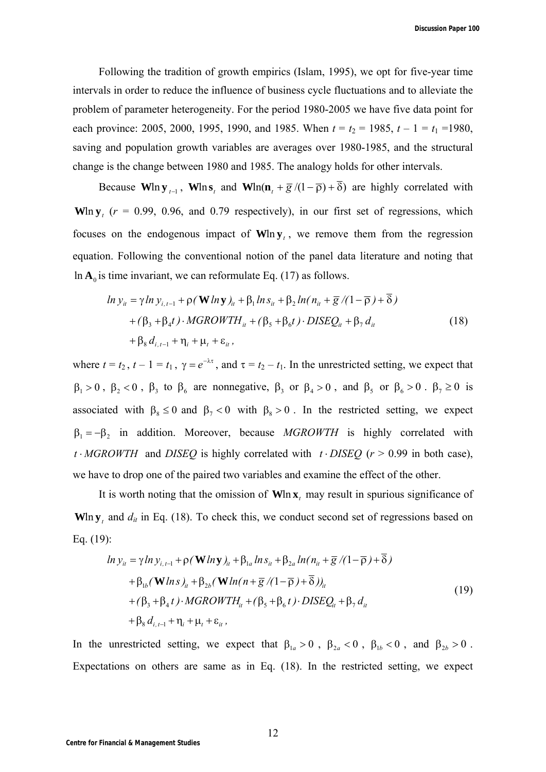Following the tradition of growth empirics (Islam, 1995), we opt for five-year time intervals in order to reduce the influence of business cycle fluctuations and to alleviate the problem of parameter heterogeneity. For the period 1980-2005 we have five data point for each province: 2005, 2000, 1995, 1990, and 1985. When  $t = t_2 = 1985$ ,  $t - 1 = t_1 = 1980$ , saving and population growth variables are averages over 1980-1985, and the structural change is the change between 1980 and 1985. The analogy holds for other intervals.

Because  $\mathbf{W}\ln \mathbf{y}_{t-1}$ ,  $\mathbf{W}\ln \mathbf{s}_t$  and  $\mathbf{W}\ln(\mathbf{n}_t + \overline{g}/(1-\overline{\rho}) + \overline{\delta})$  are highly correlated with Wln  $y_t$  ( $r = 0.99$ , 0.96, and 0.79 respectively), in our first set of regressions, which focuses on the endogenous impact of  $W \mid n y_t$ , we remove them from the regression equation. Following the conventional notion of the panel data literature and noting that  $\ln A_0$  is time invariant, we can reformulate Eq. (17) as follows.

$$
\ln y_{ii} = \gamma \ln y_{i,t-1} + \rho (\mathbf{W} \ln \mathbf{y})_{it} + \beta_1 \ln s_{it} + \beta_2 \ln (n_{it} + \overline{g}/(1-\overline{\rho}) + \overline{\delta})
$$
  
+  $(\beta_3 + \beta_4 t) \cdot MGROWTH_{it} + (\beta_5 + \beta_6 t) \cdot DISEQ_{it} + \beta_7 d_{it}$   
+  $\beta_8 d_{i,t-1} + \eta_i + \mu_t + \varepsilon_{it}$ , (18)

where  $t = t_2$ ,  $t - 1 = t_1$ ,  $\gamma = e^{-\lambda \tau}$ , and  $\tau = t_2 - t_1$ . In the unrestricted setting, we expect that  $\beta_1 > 0$ ,  $\beta_2 < 0$ ,  $\beta_3$  to  $\beta_6$  are nonnegative,  $\beta_3$  or  $\beta_4 > 0$ , and  $\beta_5$  or  $\beta_6 > 0$ .  $\beta_7 \ge 0$  is associated with  $\beta_8 \le 0$  and  $\beta_7 < 0$  with  $\beta_8 > 0$ . In the restricted setting, we expect  $\beta_1 = -\beta_2$  in addition. Moreover, because *MGROWTH* is highly correlated with *t*  $\cdot$  *MGROWTH* and *DISEQ* is highly correlated with  $t \cdot$  *DISEQ* ( $r$  > 0.99 in both case), we have to drop one of the paired two variables and examine the effect of the other.

It is worth noting that the omission of Wln x, may result in spurious significance of Wln  $y_t$ , and  $d_{it}$  in Eq. (18). To check this, we conduct second set of regressions based on Eq. (19):

$$
\ln y_{ii} = \gamma \ln y_{i, t-1} + \rho (\mathbf{W} \ln \mathbf{y})_{it} + \beta_{1a} \ln s_{it} + \beta_{2a} \ln (n_{it} + \overline{g}/(1-\overline{\rho}) + \overline{\delta})
$$
  
+  $\beta_{1b} (\mathbf{W} \ln s)_{it} + \beta_{2b} (\mathbf{W} \ln (n + \overline{g}/(1-\overline{\rho}) + \overline{\delta}))_{it}$   
+  $(\beta_3 + \beta_4 t) \cdot MGROWTH_{it} + (\beta_5 + \beta_6 t) \cdot DISEQ_{it} + \beta_7 d_{it}$   
+  $\beta_8 d_{i, t-1} + \eta_i + \mu_t + \varepsilon_{it}$ , (19)

In the unrestricted setting, we expect that  $\beta_{1a} > 0$ ,  $\beta_{2a} < 0$ ,  $\beta_{1b} < 0$ , and  $\beta_{2b} > 0$ . Expectations on others are same as in Eq. (18). In the restricted setting, we expect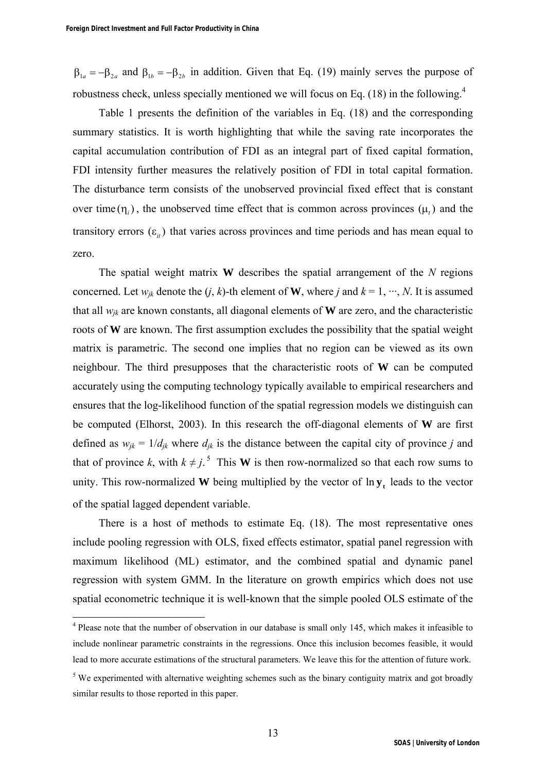$\beta_{1a} = -\beta_{2a}$  and  $\beta_{1b} = -\beta_{2b}$  in addition. Given that Eq. (19) mainly serves the purpose of robustness check, unless specially mentioned we will focus on Eq.  $(18)$  in the following.<sup>4</sup>

Table 1 presents the definition of the variables in Eq. (18) and the corresponding summary statistics. It is worth highlighting that while the saving rate incorporates the capital accumulation contribution of FDI as an integral part of fixed capital formation, FDI intensity further measures the relatively position of FDI in total capital formation. The disturbance term consists of the unobserved provincial fixed effect that is constant over time  $(\eta_i)$ , the unobserved time effect that is common across provinces  $(\mu_i)$  and the transitory errors  $(\varepsilon_{it})$  that varies across provinces and time periods and has mean equal to zero.

The spatial weight matrix **W** describes the spatial arrangement of the *N* regions concerned. Let  $w_{jk}$  denote the  $(j, k)$ -th element of **W**, where *j* and  $k = 1, \dots, N$ . It is assumed that all *wjk* are known constants, all diagonal elements of **W** are zero, and the characteristic roots of **W** are known. The first assumption excludes the possibility that the spatial weight matrix is parametric. The second one implies that no region can be viewed as its own neighbour. The third presupposes that the characteristic roots of **W** can be computed accurately using the computing technology typically available to empirical researchers and ensures that the log-likelihood function of the spatial regression models we distinguish can be computed (Elhorst, 2003). In this research the off-diagonal elements of **W** are first defined as  $w_{jk} = 1/d_{jk}$  where  $d_{jk}$  is the distance between the capital city of province *j* and that of province *k*, with  $k \neq j$ .<sup>5</sup> This **W** is then row-normalized so that each row sums to unity. This row-normalized **W** being multiplied by the vector of  $\ln y_t$  leads to the vector of the spatial lagged dependent variable.

There is a host of methods to estimate Eq. (18). The most representative ones include pooling regression with OLS, fixed effects estimator, spatial panel regression with maximum likelihood (ML) estimator, and the combined spatial and dynamic panel regression with system GMM. In the literature on growth empirics which does not use spatial econometric technique it is well-known that the simple pooled OLS estimate of the

 $\overline{a}$ 

<sup>&</sup>lt;sup>4</sup> Please note that the number of observation in our database is small only 145, which makes it infeasible to include nonlinear parametric constraints in the regressions. Once this inclusion becomes feasible, it would lead to more accurate estimations of the structural parameters. We leave this for the attention of future work.

 $<sup>5</sup>$  We experimented with alternative weighting schemes such as the binary contiguity matrix and got broadly</sup> similar results to those reported in this paper.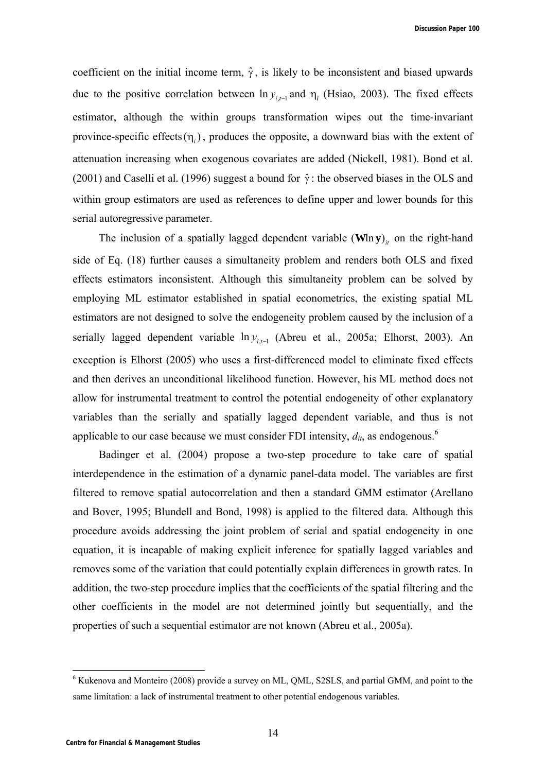coefficient on the initial income term,  $\hat{\gamma}$ , is likely to be inconsistent and biased upwards due to the positive correlation between  $\ln y_{i,j}$  and  $\eta_i$  (Hsiao, 2003). The fixed effects estimator, although the within groups transformation wipes out the time-invariant province-specific effects $(\eta_i)$ , produces the opposite, a downward bias with the extent of attenuation increasing when exogenous covariates are added (Nickell, 1981). Bond et al. (2001) and Caselli et al. (1996) suggest a bound for  $\hat{\gamma}$  : the observed biases in the OLS and within group estimators are used as references to define upper and lower bounds for this serial autoregressive parameter.

The inclusion of a spatially lagged dependent variable  $(\textbf{W}\ln{\textbf{y}})_{ii}$  on the right-hand side of Eq. (18) further causes a simultaneity problem and renders both OLS and fixed effects estimators inconsistent. Although this simultaneity problem can be solved by employing ML estimator established in spatial econometrics, the existing spatial ML estimators are not designed to solve the endogeneity problem caused by the inclusion of a serially lagged dependent variable  $\ln y_{i,t-1}$  (Abreu et al., 2005a; Elhorst, 2003). An exception is Elhorst (2005) who uses a first-differenced model to eliminate fixed effects and then derives an unconditional likelihood function. However, his ML method does not allow for instrumental treatment to control the potential endogeneity of other explanatory variables than the serially and spatially lagged dependent variable, and thus is not applicable to our case because we must consider FDI intensity,  $d_{it}$ , as endogenous.<sup>6</sup>

Badinger et al. (2004) propose a two-step procedure to take care of spatial interdependence in the estimation of a dynamic panel-data model. The variables are first filtered to remove spatial autocorrelation and then a standard GMM estimator (Arellano and Bover, 1995; Blundell and Bond, 1998) is applied to the filtered data. Although this procedure avoids addressing the joint problem of serial and spatial endogeneity in one equation, it is incapable of making explicit inference for spatially lagged variables and removes some of the variation that could potentially explain differences in growth rates. In addition, the two-step procedure implies that the coefficients of the spatial filtering and the other coefficients in the model are not determined jointly but sequentially, and the properties of such a sequential estimator are not known (Abreu et al., 2005a).

 6 Kukenova and Monteiro (2008) provide a survey on ML, QML, S2SLS, and partial GMM, and point to the same limitation: a lack of instrumental treatment to other potential endogenous variables.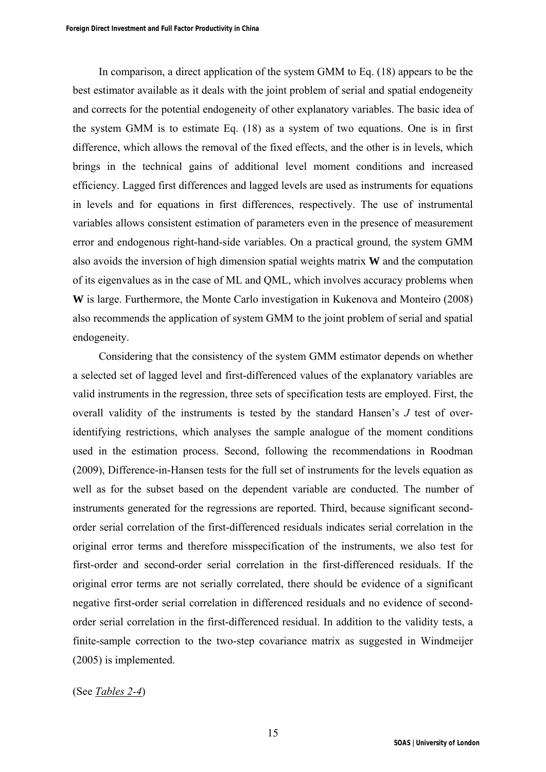In comparison, a direct application of the system GMM to Eq. (18) appears to be the best estimator available as it deals with the joint problem of serial and spatial endogeneity and corrects for the potential endogeneity of other explanatory variables. The basic idea of the system GMM is to estimate Eq. (18) as a system of two equations. One is in first difference, which allows the removal of the fixed effects, and the other is in levels, which brings in the technical gains of additional level moment conditions and increased efficiency. Lagged first differences and lagged levels are used as instruments for equations in levels and for equations in first differences, respectively. The use of instrumental variables allows consistent estimation of parameters even in the presence of measurement error and endogenous right-hand-side variables. On a practical ground, the system GMM also avoids the inversion of high dimension spatial weights matrix **W** and the computation of its eigenvalues as in the case of ML and QML, which involves accuracy problems when **W** is large. Furthermore, the Monte Carlo investigation in Kukenova and Monteiro (2008) also recommends the application of system GMM to the joint problem of serial and spatial endogeneity.

Considering that the consistency of the system GMM estimator depends on whether a selected set of lagged level and first-differenced values of the explanatory variables are valid instruments in the regression, three sets of specification tests are employed. First, the overall validity of the instruments is tested by the standard Hansen's *J* test of overidentifying restrictions, which analyses the sample analogue of the moment conditions used in the estimation process. Second, following the recommendations in Roodman (2009), Difference-in-Hansen tests for the full set of instruments for the levels equation as well as for the subset based on the dependent variable are conducted. The number of instruments generated for the regressions are reported. Third, because significant secondorder serial correlation of the first-differenced residuals indicates serial correlation in the original error terms and therefore misspecification of the instruments, we also test for first-order and second-order serial correlation in the first-differenced residuals. If the original error terms are not serially correlated, there should be evidence of a significant negative first-order serial correlation in differenced residuals and no evidence of secondorder serial correlation in the first-differenced residual. In addition to the validity tests, a finite-sample correction to the two-step covariance matrix as suggested in Windmeijer (2005) is implemented.

(See *Tables 2-4*)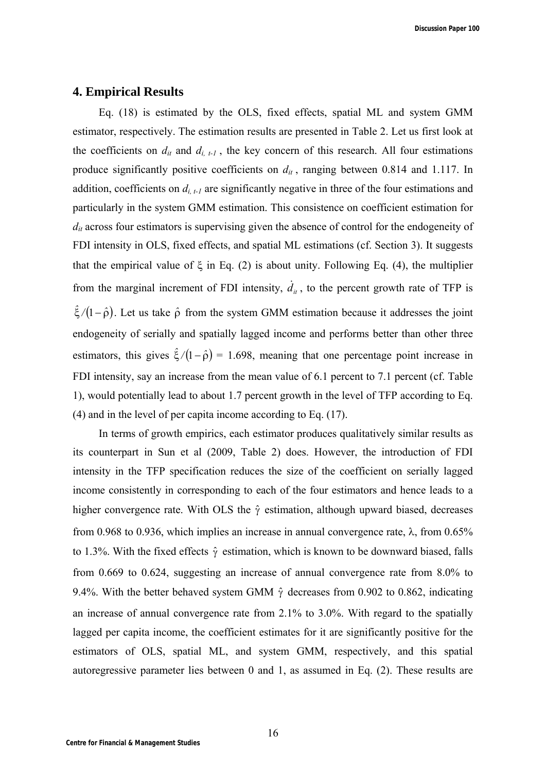## **4. Empirical Results**

Eq. (18) is estimated by the OLS, fixed effects, spatial ML and system GMM estimator, respectively. The estimation results are presented in Table 2. Let us first look at the coefficients on  $d_{it}$  and  $d_{i, t-1}$ , the key concern of this research. All four estimations produce significantly positive coefficients on  $d_{it}$ , ranging between 0.814 and 1.117. In addition, coefficients on  $d_{i,t-1}$  are significantly negative in three of the four estimations and particularly in the system GMM estimation. This consistence on coefficient estimation for  $d_{it}$  across four estimators is supervising given the absence of control for the endogeneity of FDI intensity in OLS, fixed effects, and spatial ML estimations (cf. Section 3). It suggests that the empirical value of  $\xi$  in Eq. (2) is about unity. Following Eq. (4), the multiplier from the marginal increment of FDI intensity,  $\dot{d}_{it}$ , to the percent growth rate of TFP is  $\hat{\xi}/(1-\hat{\rho})$ . Let us take  $\hat{\rho}$  from the system GMM estimation because it addresses the joint endogeneity of serially and spatially lagged income and performs better than other three estimators, this gives  $\frac{\xi}{1-\hat{\rho}} = 1.698$ , meaning that one percentage point increase in FDI intensity, say an increase from the mean value of 6.1 percent to 7.1 percent (cf. Table 1), would potentially lead to about 1.7 percent growth in the level of TFP according to Eq. (4) and in the level of per capita income according to Eq. (17).

In terms of growth empirics, each estimator produces qualitatively similar results as its counterpart in Sun et al (2009, Table 2) does. However, the introduction of FDI intensity in the TFP specification reduces the size of the coefficient on serially lagged income consistently in corresponding to each of the four estimators and hence leads to a higher convergence rate. With OLS the  $\hat{\gamma}$  estimation, although upward biased, decreases from 0.968 to 0.936, which implies an increase in annual convergence rate,  $\lambda$ , from 0.65% to 1.3%. With the fixed effects  $\hat{\gamma}$  estimation, which is known to be downward biased, falls from 0.669 to 0.624, suggesting an increase of annual convergence rate from 8.0% to 9.4%. With the better behaved system GMM  $\hat{\gamma}$  decreases from 0.902 to 0.862, indicating an increase of annual convergence rate from 2.1% to 3.0%. With regard to the spatially lagged per capita income, the coefficient estimates for it are significantly positive for the estimators of OLS, spatial ML, and system GMM, respectively, and this spatial autoregressive parameter lies between 0 and 1, as assumed in Eq. (2). These results are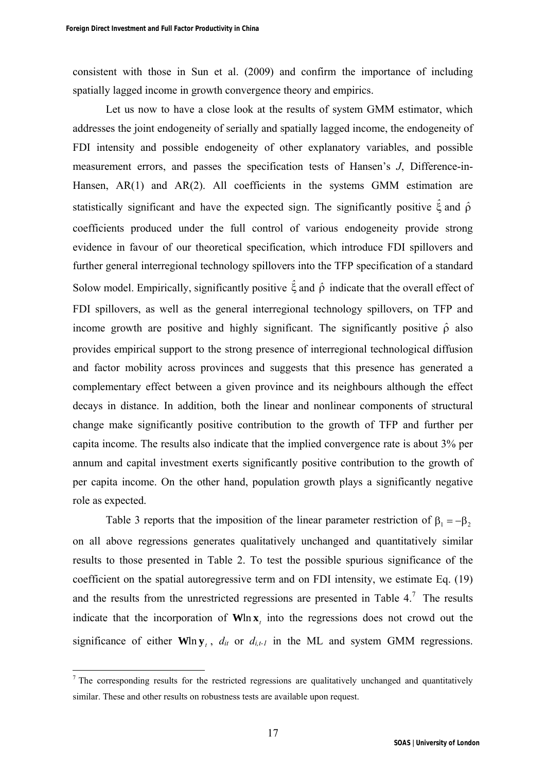consistent with those in Sun et al. (2009) and confirm the importance of including spatially lagged income in growth convergence theory and empirics.

Let us now to have a close look at the results of system GMM estimator, which addresses the joint endogeneity of serially and spatially lagged income, the endogeneity of FDI intensity and possible endogeneity of other explanatory variables, and possible measurement errors, and passes the specification tests of Hansen's *J*, Difference-in-Hansen, AR(1) and AR(2). All coefficients in the systems GMM estimation are statistically significant and have the expected sign. The significantly positive *ˆ* and *ˆ* coefficients produced under the full control of various endogeneity provide strong evidence in favour of our theoretical specification, which introduce FDI spillovers and further general interregional technology spillovers into the TFP specification of a standard Solow model. Empirically, significantly positive  $\hat{\xi}$  and  $\hat{\rho}$  indicate that the overall effect of FDI spillovers, as well as the general interregional technology spillovers, on TFP and income growth are positive and highly significant. The significantly positive  $\hat{\rho}$  also provides empirical support to the strong presence of interregional technological diffusion and factor mobility across provinces and suggests that this presence has generated a complementary effect between a given province and its neighbours although the effect decays in distance. In addition, both the linear and nonlinear components of structural change make significantly positive contribution to the growth of TFP and further per capita income. The results also indicate that the implied convergence rate is about 3% per annum and capital investment exerts significantly positive contribution to the growth of per capita income. On the other hand, population growth plays a significantly negative role as expected.

Table 3 reports that the imposition of the linear parameter restriction of  $\beta_1 = -\beta_2$ on all above regressions generates qualitatively unchanged and quantitatively similar results to those presented in Table 2. To test the possible spurious significance of the coefficient on the spatial autoregressive term and on FDI intensity, we estimate Eq. (19) and the results from the unrestricted regressions are presented in Table  $4<sup>7</sup>$ . The results indicate that the incorporation of  $W \mid n \times n$  into the regressions does not crowd out the significance of either  $W \mid \mathbf{w}_t$ ,  $d_{it}$  or  $d_{i,t-1}$  in the ML and system GMM regressions.

<sup>&</sup>lt;sup>7</sup> The corresponding results for the restricted regressions are qualitatively unchanged and quantitatively similar. These and other results on robustness tests are available upon request.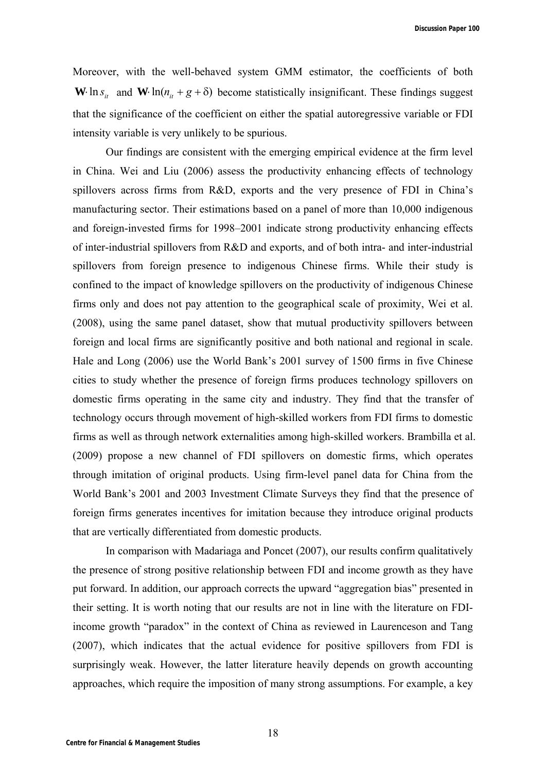**Discussion Paper 100**

Moreover, with the well-behaved system GMM estimator, the coefficients of both **W** ln  $s_{it}$  and **W**  $\ln(n_{it} + g + \delta)$  become statistically insignificant. These findings suggest that the significance of the coefficient on either the spatial autoregressive variable or FDI intensity variable is very unlikely to be spurious.

Our findings are consistent with the emerging empirical evidence at the firm level in China. Wei and Liu (2006) assess the productivity enhancing effects of technology spillovers across firms from R&D, exports and the very presence of FDI in China's manufacturing sector. Their estimations based on a panel of more than 10,000 indigenous and foreign-invested firms for 1998–2001 indicate strong productivity enhancing effects of inter-industrial spillovers from R&D and exports, and of both intra- and inter-industrial spillovers from foreign presence to indigenous Chinese firms. While their study is confined to the impact of knowledge spillovers on the productivity of indigenous Chinese firms only and does not pay attention to the geographical scale of proximity, Wei et al. (2008), using the same panel dataset, show that mutual productivity spillovers between foreign and local firms are significantly positive and both national and regional in scale. Hale and Long (2006) use the World Bank's 2001 survey of 1500 firms in five Chinese cities to study whether the presence of foreign firms produces technology spillovers on domestic firms operating in the same city and industry. They find that the transfer of technology occurs through movement of high-skilled workers from FDI firms to domestic firms as well as through network externalities among high-skilled workers. Brambilla et al. (2009) propose a new channel of FDI spillovers on domestic firms, which operates through imitation of original products. Using firm-level panel data for China from the World Bank's 2001 and 2003 Investment Climate Surveys they find that the presence of foreign firms generates incentives for imitation because they introduce original products that are vertically differentiated from domestic products.

In comparison with Madariaga and Poncet (2007), our results confirm qualitatively the presence of strong positive relationship between FDI and income growth as they have put forward. In addition, our approach corrects the upward "aggregation bias" presented in their setting. It is worth noting that our results are not in line with the literature on FDIincome growth "paradox" in the context of China as reviewed in Laurenceson and Tang (2007), which indicates that the actual evidence for positive spillovers from FDI is surprisingly weak. However, the latter literature heavily depends on growth accounting approaches, which require the imposition of many strong assumptions. For example, a key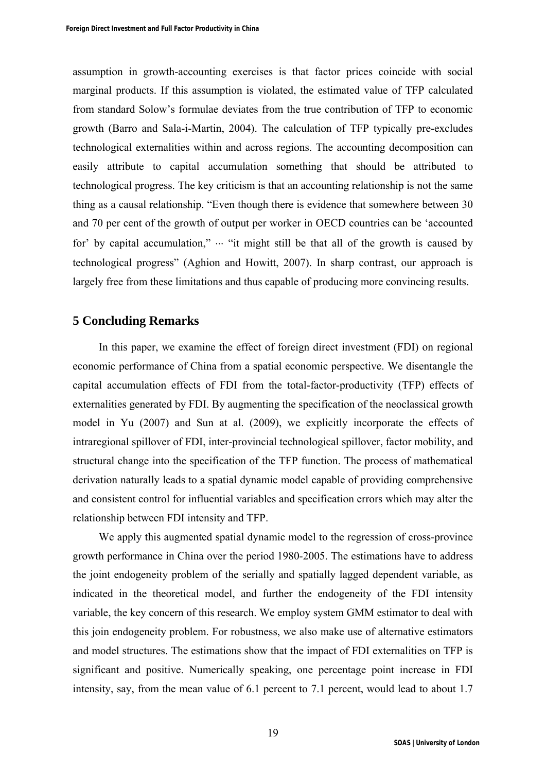assumption in growth-accounting exercises is that factor prices coincide with social marginal products. If this assumption is violated, the estimated value of TFP calculated from standard Solow's formulae deviates from the true contribution of TFP to economic growth (Barro and Sala-i-Martin, 2004). The calculation of TFP typically pre-excludes technological externalities within and across regions. The accounting decomposition can easily attribute to capital accumulation something that should be attributed to technological progress. The key criticism is that an accounting relationship is not the same thing as a causal relationship. "Even though there is evidence that somewhere between 30 and 70 per cent of the growth of output per worker in OECD countries can be 'accounted for' by capital accumulation,"  $\cdots$  "it might still be that all of the growth is caused by technological progress" (Aghion and Howitt, 2007). In sharp contrast, our approach is largely free from these limitations and thus capable of producing more convincing results.

## **5 Concluding Remarks**

In this paper, we examine the effect of foreign direct investment (FDI) on regional economic performance of China from a spatial economic perspective. We disentangle the capital accumulation effects of FDI from the total-factor-productivity (TFP) effects of externalities generated by FDI. By augmenting the specification of the neoclassical growth model in Yu (2007) and Sun at al. (2009), we explicitly incorporate the effects of intraregional spillover of FDI, inter-provincial technological spillover, factor mobility, and structural change into the specification of the TFP function. The process of mathematical derivation naturally leads to a spatial dynamic model capable of providing comprehensive and consistent control for influential variables and specification errors which may alter the relationship between FDI intensity and TFP.

We apply this augmented spatial dynamic model to the regression of cross-province growth performance in China over the period 1980-2005. The estimations have to address the joint endogeneity problem of the serially and spatially lagged dependent variable, as indicated in the theoretical model, and further the endogeneity of the FDI intensity variable, the key concern of this research. We employ system GMM estimator to deal with this join endogeneity problem. For robustness, we also make use of alternative estimators and model structures. The estimations show that the impact of FDI externalities on TFP is significant and positive. Numerically speaking, one percentage point increase in FDI intensity, say, from the mean value of 6.1 percent to 7.1 percent, would lead to about 1.7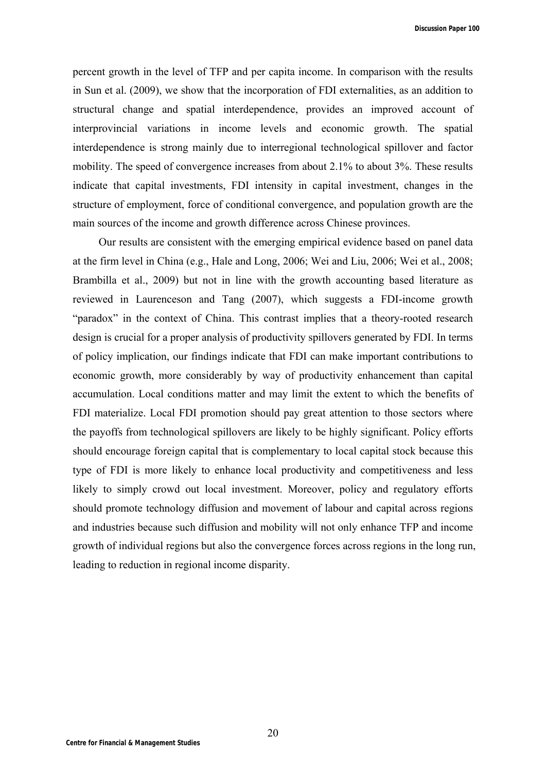**Discussion Paper 100**

percent growth in the level of TFP and per capita income. In comparison with the results in Sun et al. (2009), we show that the incorporation of FDI externalities, as an addition to structural change and spatial interdependence, provides an improved account of interprovincial variations in income levels and economic growth. The spatial interdependence is strong mainly due to interregional technological spillover and factor mobility. The speed of convergence increases from about 2.1% to about 3%. These results indicate that capital investments, FDI intensity in capital investment, changes in the structure of employment, force of conditional convergence, and population growth are the main sources of the income and growth difference across Chinese provinces.

Our results are consistent with the emerging empirical evidence based on panel data at the firm level in China (e.g., Hale and Long, 2006; Wei and Liu, 2006; Wei et al., 2008; Brambilla et al., 2009) but not in line with the growth accounting based literature as reviewed in Laurenceson and Tang (2007), which suggests a FDI-income growth "paradox" in the context of China. This contrast implies that a theory-rooted research design is crucial for a proper analysis of productivity spillovers generated by FDI. In terms of policy implication, our findings indicate that FDI can make important contributions to economic growth, more considerably by way of productivity enhancement than capital accumulation. Local conditions matter and may limit the extent to which the benefits of FDI materialize. Local FDI promotion should pay great attention to those sectors where the payoffs from technological spillovers are likely to be highly significant. Policy efforts should encourage foreign capital that is complementary to local capital stock because this type of FDI is more likely to enhance local productivity and competitiveness and less likely to simply crowd out local investment. Moreover, policy and regulatory efforts should promote technology diffusion and movement of labour and capital across regions and industries because such diffusion and mobility will not only enhance TFP and income growth of individual regions but also the convergence forces across regions in the long run, leading to reduction in regional income disparity.

20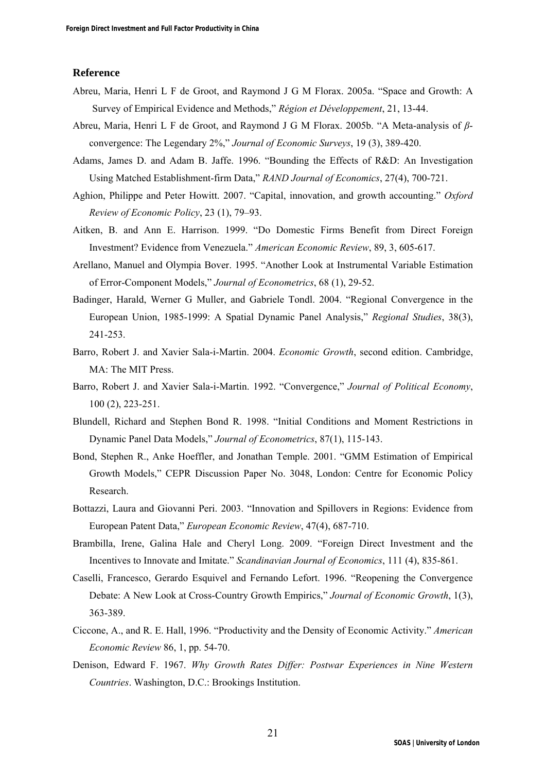#### **Reference**

- Abreu, Maria, Henri L F de Groot, and Raymond J G M Florax. 2005a. "Space and Growth: A Survey of Empirical Evidence and Methods," *Région et Développement*, 21, 13-44.
- Abreu, Maria, Henri L F de Groot, and Raymond J G M Florax. 2005b. "A Meta-analysis of *β*convergence: The Legendary 2%," *Journal of Economic Surveys*, 19 (3), 389-420.
- Adams, James D. and Adam B. Jaffe. 1996. "Bounding the Effects of R&D: An Investigation Using Matched Establishment-firm Data," *RAND Journal of Economics*, 27(4), 700-721.
- Aghion, Philippe and Peter Howitt. 2007. "Capital, innovation, and growth accounting." *Oxford Review of Economic Policy*, 23 (1), 79–93.
- Aitken, B. and Ann E. Harrison. 1999. "Do Domestic Firms Benefit from Direct Foreign Investment? Evidence from Venezuela." *American Economic Review*, 89, 3, 605-617.
- Arellano, Manuel and Olympia Bover. 1995. "Another Look at Instrumental Variable Estimation of Error-Component Models," *Journal of Econometrics*, 68 (1), 29-52.
- Badinger, Harald, Werner G Muller, and Gabriele Tondl. 2004. "Regional Convergence in the European Union, 1985-1999: A Spatial Dynamic Panel Analysis," *Regional Studies*, 38(3), 241-253.
- Barro, Robert J. and Xavier Sala-i-Martin. 2004. *Economic Growth*, second edition. Cambridge, MA: The MIT Press.
- Barro, Robert J. and Xavier Sala-i-Martin. 1992. "Convergence," *Journal of Political Economy*, 100 (2), 223-251.
- Blundell, Richard and Stephen Bond R. 1998. "Initial Conditions and Moment Restrictions in Dynamic Panel Data Models," *Journal of Econometrics*, 87(1), 115-143.
- Bond, Stephen R., Anke Hoeffler, and Jonathan Temple. 2001. "GMM Estimation of Empirical Growth Models," CEPR Discussion Paper No. 3048, London: Centre for Economic Policy Research.
- Bottazzi, Laura and Giovanni Peri. 2003. "Innovation and Spillovers in Regions: Evidence from European Patent Data," *European Economic Review*, 47(4), 687-710.
- Brambilla, Irene, Galina Hale and Cheryl Long. 2009. "Foreign Direct Investment and the Incentives to Innovate and Imitate." *Scandinavian Journal of Economics*, 111 (4), 835-861.
- Caselli, Francesco, Gerardo Esquivel and Fernando Lefort. 1996. "Reopening the Convergence Debate: A New Look at Cross-Country Growth Empirics," *Journal of Economic Growth*, 1(3), 363-389.
- Ciccone, A., and R. E. Hall, 1996. "Productivity and the Density of Economic Activity." *American Economic Review* 86, 1, pp. 54-70.
- Denison, Edward F. 1967. *Why Growth Rates Differ: Postwar Experiences in Nine Western Countries*. Washington, D.C.: Brookings Institution.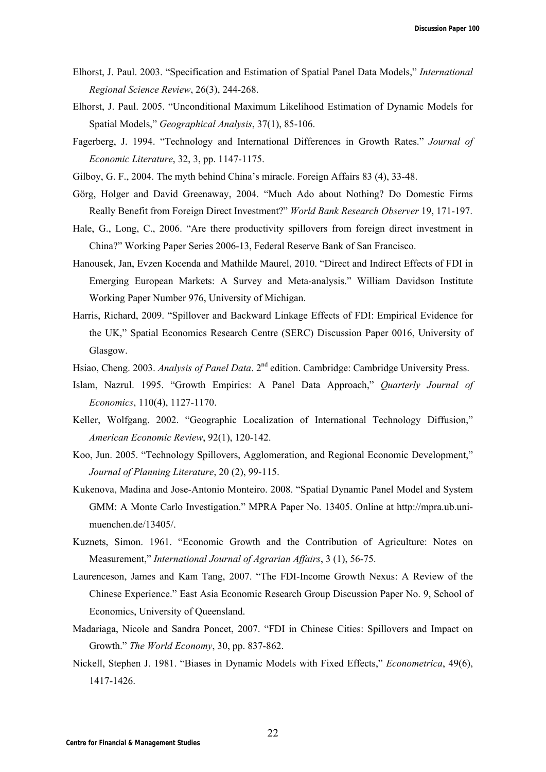- Elhorst, J. Paul. 2003. "Specification and Estimation of Spatial Panel Data Models," *International Regional Science Review*, 26(3), 244-268.
- Elhorst, J. Paul. 2005. "Unconditional Maximum Likelihood Estimation of Dynamic Models for Spatial Models," *Geographical Analysis*, 37(1), 85-106.
- Fagerberg, J. 1994. "Technology and International Differences in Growth Rates." *Journal of Economic Literature*, 32, 3, pp. 1147-1175.
- Gilboy, G. F., 2004. The myth behind China's miracle. Foreign Affairs 83 (4), 33-48.
- Görg, Holger and David Greenaway, 2004. "Much Ado about Nothing? Do Domestic Firms Really Benefit from Foreign Direct Investment?" *World Bank Research Observer* 19, 171-197.
- Hale, G., Long, C., 2006. "Are there productivity spillovers from foreign direct investment in China?" Working Paper Series 2006-13, Federal Reserve Bank of San Francisco.
- Hanousek, Jan, Evzen Kocenda and Mathilde Maurel, 2010. "Direct and Indirect Effects of FDI in Emerging European Markets: A Survey and Meta-analysis." William Davidson Institute Working Paper Number 976, University of Michigan.
- Harris, Richard, 2009. "Spillover and Backward Linkage Effects of FDI: Empirical Evidence for the UK," Spatial Economics Research Centre (SERC) Discussion Paper 0016, University of Glasgow.
- Hsiao, Cheng. 2003. *Analysis of Panel Data*. 2<sup>nd</sup> edition. Cambridge: Cambridge University Press.
- Islam, Nazrul. 1995. "Growth Empirics: A Panel Data Approach," *Quarterly Journal of Economics*, 110(4), 1127-1170.
- Keller, Wolfgang. 2002. "Geographic Localization of International Technology Diffusion," *American Economic Review*, 92(1), 120-142.
- Koo, Jun. 2005. "Technology Spillovers, Agglomeration, and Regional Economic Development," *Journal of Planning Literature*, 20 (2), 99-115.
- Kukenova, Madina and Jose-Antonio Monteiro. 2008. "Spatial Dynamic Panel Model and System GMM: A Monte Carlo Investigation." MPRA Paper No. 13405. Online at http://mpra.ub.unimuenchen.de/13405/.
- Kuznets, Simon. 1961. "Economic Growth and the Contribution of Agriculture: Notes on Measurement," *International Journal of Agrarian Affairs*, 3 (1), 56-75.
- Laurenceson, James and Kam Tang, 2007. "The FDI-Income Growth Nexus: A Review of the Chinese Experience." East Asia Economic Research Group Discussion Paper No. 9, School of Economics, University of Queensland.
- Madariaga, Nicole and Sandra Poncet, 2007. "FDI in Chinese Cities: Spillovers and Impact on Growth." *The World Economy*, 30, pp. 837-862.
- Nickell, Stephen J. 1981. "Biases in Dynamic Models with Fixed Effects," *Econometrica*, 49(6), 1417-1426.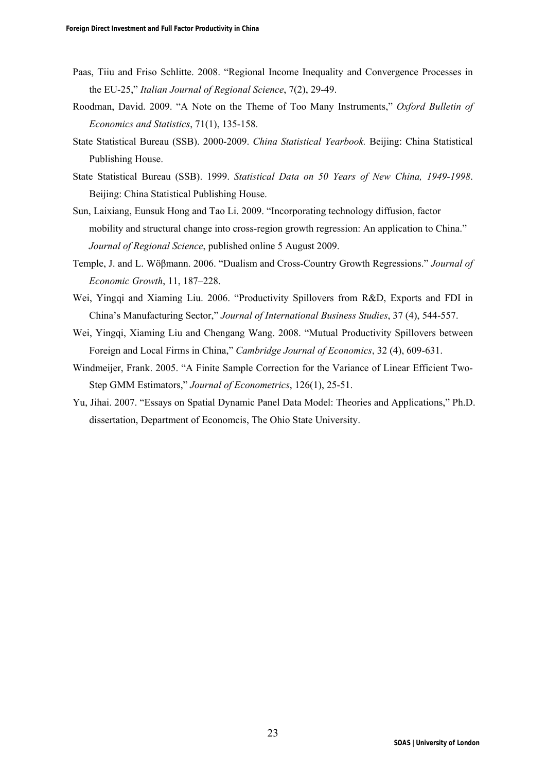- Paas, Tiiu and Friso Schlitte. 2008. "Regional Income Inequality and Convergence Processes in the EU-25," *Italian Journal of Regional Science*, 7(2), 29-49.
- Roodman, David. 2009. "A Note on the Theme of Too Many Instruments," *Oxford Bulletin of Economics and Statistics*, 71(1), 135-158.
- State Statistical Bureau (SSB). 2000-2009. *China Statistical Yearbook.* Beijing: China Statistical Publishing House.
- State Statistical Bureau (SSB). 1999. *Statistical Data on 50 Years of New China, 1949-1998*. Beijing: China Statistical Publishing House.
- Sun, Laixiang, Eunsuk Hong and Tao Li. 2009. "Incorporating technology diffusion, factor mobility and structural change into cross-region growth regression: An application to China." *Journal of Regional Science*, published online 5 August 2009.
- Temple, J. and L. Wöβmann. 2006. "Dualism and Cross-Country Growth Regressions." *Journal of Economic Growth*, 11, 187–228.
- Wei, Yingqi and Xiaming Liu. 2006. "Productivity Spillovers from R&D, Exports and FDI in China's Manufacturing Sector," *Journal of International Business Studies*, 37 (4), 544-557.
- Wei, Yingqi, Xiaming Liu and Chengang Wang. 2008. "Mutual Productivity Spillovers between Foreign and Local Firms in China," *Cambridge Journal of Economics*, 32 (4), 609-631.
- Windmeijer, Frank. 2005. "A Finite Sample Correction for the Variance of Linear Efficient Two-Step GMM Estimators," *Journal of Econometrics*, 126(1), 25-51.
- Yu, Jihai. 2007. "Essays on Spatial Dynamic Panel Data Model: Theories and Applications," Ph.D. dissertation, Department of Economcis, The Ohio State University.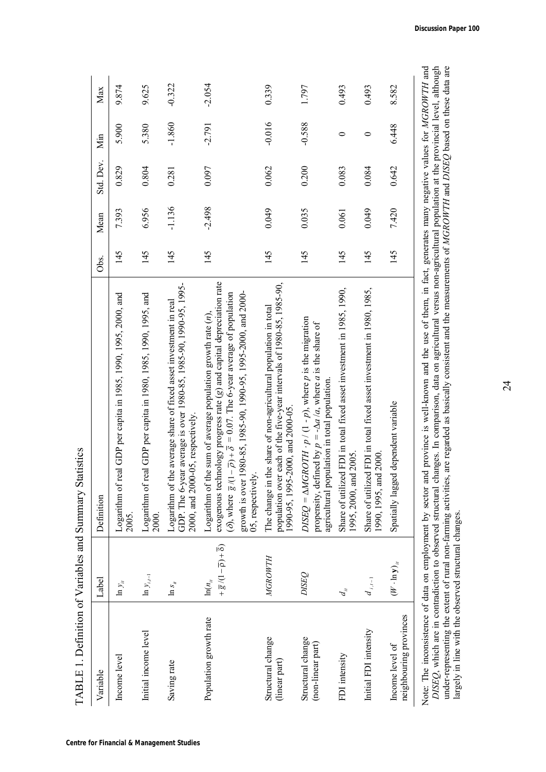| TABLE 1. Definition of Variables and Summary Statistics |                                                                                       |                                                                                                                                                                                                                                                                                                                                                       |      |          |           |          |          |
|---------------------------------------------------------|---------------------------------------------------------------------------------------|-------------------------------------------------------------------------------------------------------------------------------------------------------------------------------------------------------------------------------------------------------------------------------------------------------------------------------------------------------|------|----------|-----------|----------|----------|
| Variable                                                | Label                                                                                 | Definition                                                                                                                                                                                                                                                                                                                                            | Obs. | Mean     | Std. Dev. | Min      | Max      |
| Income level                                            | $\ln y_u$                                                                             | Logarithm of real GDP per capita in 1985, 1990, 1995, 2000, and<br>2005.                                                                                                                                                                                                                                                                              | 145  | 7.393    | 0.829     | 5.900    | 9.874    |
| Initial income level                                    | $\ln \mathcal{Y}_{i,i-1}$                                                             | Logarithm of real GDP per capita in 1980, 1985, 1990, 1995, and<br>2000.                                                                                                                                                                                                                                                                              | 145  | 6.956    | 0.804     | 5.380    | 9.625    |
| Saving rate                                             | $\ln s_{_{ii}}$                                                                       | GDP. The 6-year average is over 1980-85, 1985-90, 1990-95, 1995-<br>ne average share of fixed asset investment in real<br>2000, and 2000-05, respectively.<br>Logarithm of th                                                                                                                                                                         | 145  | $-1.136$ | 0.281     | $-1.860$ | $-0.322$ |
| Population growth rate                                  | $+\overline{g}/(1-\overline{p})+\overline{\delta})$<br>$\ln(n_{\scriptscriptstyle H}$ | exogenous technology progress rate (g) and capital depreciation rate<br>1980-85, 1985-90, 1990-95, 1995-2000, and 2000-<br>$-\bar{\rho}$ ) + $\bar{\delta}$ = 0.07. The 6-year average of population<br>Logarithm of the sum of average population growth rate $(n)$ ,<br>( <i>ð</i> ), where $\overline{g}/(1$<br>05, respectively<br>growth is over | 145  | $-2.498$ | 0.097     | $-2.791$ | $-2.054$ |
| Structural change<br>(linear part)                      | <b>MGROWTH</b>                                                                        | population over each of the five-year intervals of 1980-85, 1985-90,<br>The change in the share of non-agricultural population in total<br>1990-95, 1995-2000, and 2000-05                                                                                                                                                                            | 145  | 0.049    | 0.062     | $-0.016$ | 0.339    |
| Structural change<br>(non-linear part)                  | <b>DISEQ</b>                                                                          | $DISEQ = \Delta MGROTH \cdot p / (1-p)$ , where p is the migration<br>propensity, defined by $p = -\Delta a/a$ , where a is the share of<br>agricultural population in total population.                                                                                                                                                              | 145  | 0.035    | 0.200     | $-0.588$ | 1.797    |
| FDI intensity                                           | $d_{_H}$                                                                              | Share of utilized FDI in total fixed asset investment in 1985, 1990,<br>1995, 2000, and 2005.                                                                                                                                                                                                                                                         | 145  | 0.061    | 0.083     | $\circ$  | 0.493    |
| Initial FDI intensity                                   | $d_{i,i-1}$                                                                           | Share of utilized FDI in total fixed asset investment in 1980, 1985,<br>1990, 1995, and 2000                                                                                                                                                                                                                                                          | 145  | 0.049    | 0.084     | $\circ$  | 0.493    |
| neighbouring provinces<br>Income level of               | $(W\cdot\ln y)_{u}$                                                                   | Spatially lagged dependent variable                                                                                                                                                                                                                                                                                                                   | 145  | 7.420    | 0.642     | 6.448    | 8.582    |
|                                                         |                                                                                       | Note: The inconsistence of data on employment by sector and province is well-known and the use of them, in fact, generates many negative values for MGROWTH and                                                                                                                                                                                       |      |          |           |          |          |

wote: The mconsistence or data on employment by sector and province is well-known and the use or them, in ract, generates many negative values for *MUKUW LH* and *DISEQ*, which are in contradiction to observed structural c Note: The inconsistence of data on employment by sector and province is well-known and the use of them, in fact, generates many negative values for *MGROWTH* and *DISEQ*, which are in contradiction to observed structural changes. In comparison, data on agricultural versus non-agricultural population at the provincial level, although under-representing the extent of rural non-farming activities, are regarded as basically consistent and the measurements of *MGROWTH* and *DISEQ* based on these data are largely in line with the observed structural changes. Note: The inconsistence

# 24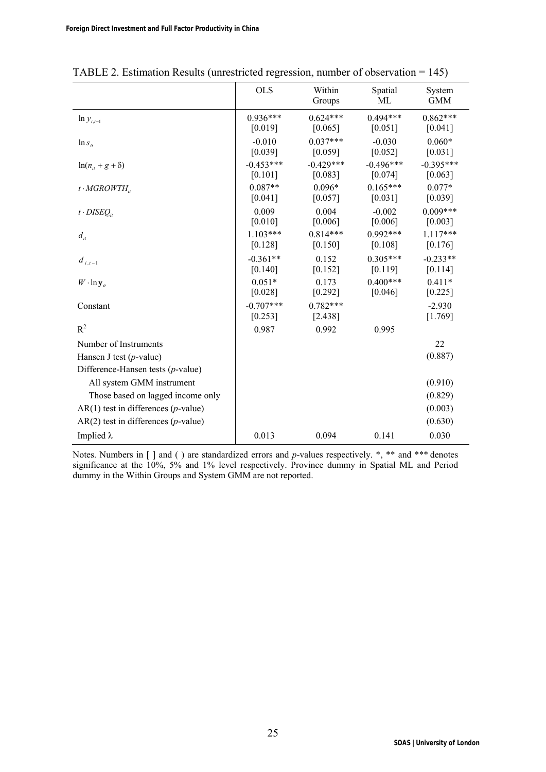|                                                | <b>OLS</b>             | Within<br>Groups        | Spatial<br>МL          | System<br><b>GMM</b>   |
|------------------------------------------------|------------------------|-------------------------|------------------------|------------------------|
| $\ln y_{i,t-1}$                                | $0.936***$<br>[0.019]  | $0.624***$<br>[0.065]   | $0.494***$<br>[0.051]  | $0.862***$<br>[0.041]  |
| $\ln s_{ii}$                                   | $-0.010$<br>[0.039]    | $0.037***$<br>$[0.059]$ | $-0.030$<br>[0.052]    | $0.060*$<br>[0.031]    |
| $ln(n_{ii} + g + \delta)$                      | $-0.453***$<br>[0.101] | $-0.429***$<br>[0.083]  | $-0.496***$<br>[0.074] | $-0.395***$<br>[0.063] |
| $t \cdot MGROWTH_{ii}$                         | $0.087**$<br>[0.041]   | $0.096*$<br>[0.057]     | $0.165***$<br>[0.031]  | $0.077*$<br>[0.039]    |
| $t \cdot DISEO_{it}$                           | 0.009<br>[0.010]       | 0.004<br>[0.006]        | $-0.002$<br>[0.006]    | $0.009***$<br>[0.003]  |
| $d_{it}$                                       | $1.103***$<br>[0.128]  | $0.814***$<br>[0.150]   | $0.992***$<br>[0.108]  | $1.117***$<br>[0.176]  |
| $d_{i,t-1}$                                    | $-0.361**$<br>[0.140]  | 0.152<br>[0.152]        | $0.305***$<br>[0.119]  | $-0.233**$<br>[0.114]  |
| $W \cdot \ln y_{ii}$                           | $0.051*$<br>[0.028]    | 0.173<br>[0.292]        | $0.400***$<br>[0.046]  | $0.411*$<br>[0.225]    |
| Constant                                       | $-0.707***$<br>[0.253] | $0.782***$<br>[2.438]   |                        | $-2.930$<br>[1.769]    |
| $R^2$                                          | 0.987                  | 0.992                   | 0.995                  |                        |
| Number of Instruments                          |                        |                         |                        | 22                     |
| Hansen J test $(p$ -value)                     |                        |                         |                        | (0.887)                |
| Difference-Hansen tests $(p$ -value)           |                        |                         |                        |                        |
| All system GMM instrument                      |                        |                         |                        | (0.910)                |
| Those based on lagged income only              |                        |                         |                        | (0.829)                |
| $AR(1)$ test in differences ( <i>p</i> -value) |                        |                         |                        | (0.003)                |
| $AR(2)$ test in differences ( <i>p</i> -value) |                        |                         |                        | (0.630)                |
| Implied $\lambda$                              | 0.013                  | 0.094                   | 0.141                  | 0.030                  |

TABLE 2. Estimation Results (unrestricted regression, number of observation = 145)

Notes. Numbers in [ ] and ( ) are standardized errors and *p*-values respectively. \*, \*\* and \*\*\* denotes significance at the 10%, 5% and 1% level respectively. Province dummy in Spatial ML and Period dummy in the Within Groups and System GMM are not reported.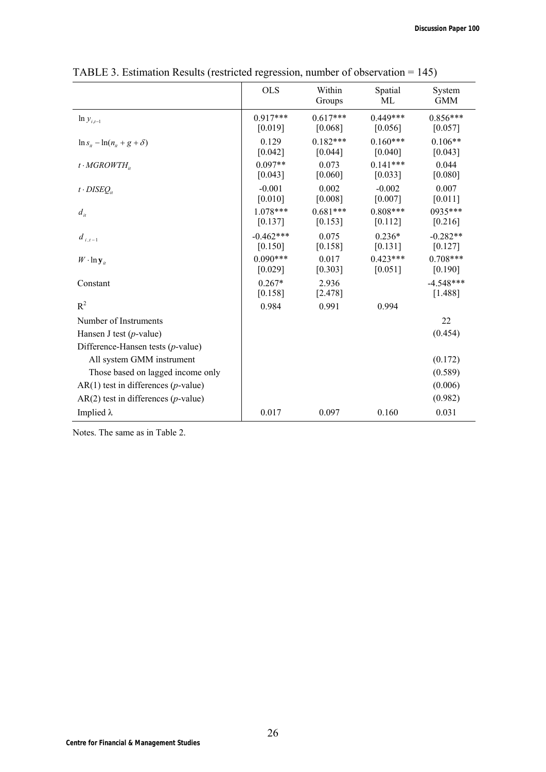|                                                | <b>OLS</b>             | Within<br>Groups      | Spatial<br>МL         | System<br><b>GMM</b>   |
|------------------------------------------------|------------------------|-----------------------|-----------------------|------------------------|
| $\ln y_{i,t-1}$                                | $0.917***$<br>[0.019]  | $0.617***$<br>[0.068] | $0.449***$<br>[0.056] | $0.856***$<br>[0.057]  |
| $\ln s_{ii} - \ln(n_{ii} + g + \delta)$        | 0.129<br>[0.042]       | $0.182***$<br>[0.044] | $0.160***$<br>[0.040] | $0.106**$<br>[0.043]   |
| $t \cdot MGROWTH_{i}$                          | $0.097**$<br>[0.043]   | 0.073<br>[0.060]      | $0.141***$<br>[0.033] | 0.044<br>[0.080]       |
| $t \cdot DISEO_{it}$                           | $-0.001$<br>[0.010]    | 0.002<br>[0.008]      | $-0.002$<br>[0.007]   | 0.007<br>[0.011]       |
| $d_{it}$                                       | $1.078***$<br>[0.137]  | $0.681***$<br>[0.153] | $0.808***$<br>[0.112] | 0935***<br>[0.216]     |
| $d_{i,t-1}$                                    | $-0.462***$<br>[0.150] | 0.075<br>[0.158]      | $0.236*$<br>[0.131]   | $-0.282**$<br>[0.127]  |
| $W \cdot \ln y_u$                              | $0.090***$<br>[0.029]  | 0.017<br>[0.303]      | $0.423***$<br>[0.051] | $0.708***$<br>[0.190]  |
| Constant                                       | $0.267*$<br>[0.158]    | 2.936<br>[2.478]      |                       | $-4.548***$<br>[1.488] |
| $R^2$                                          | 0.984                  | 0.991                 | 0.994                 |                        |
| Number of Instruments                          |                        |                       |                       | 22                     |
| Hansen J test $(p$ -value)                     |                        |                       |                       | (0.454)                |
| Difference-Hansen tests $(p$ -value)           |                        |                       |                       |                        |
| All system GMM instrument                      |                        |                       |                       | (0.172)                |
| Those based on lagged income only              |                        |                       |                       | (0.589)                |
| $AR(1)$ test in differences ( <i>p</i> -value) |                        |                       |                       | (0.006)                |
| $AR(2)$ test in differences ( <i>p</i> -value) |                        |                       |                       | (0.982)                |
| Implied $\lambda$                              | 0.017                  | 0.097                 | 0.160                 | 0.031                  |

TABLE 3. Estimation Results (restricted regression, number of observation = 145)

Notes. The same as in Table 2.